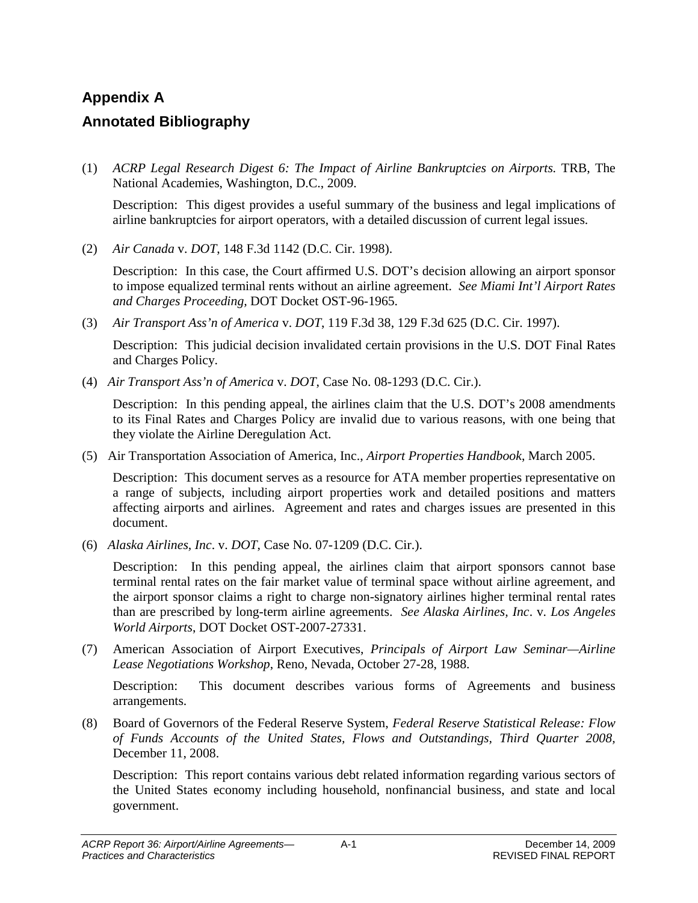# **Appendix A Annotated Bibliography**

(1) *ACRP Legal Research Digest 6: The Impact of Airline Bankruptcies on Airports.* TRB, The National Academies, Washington, D.C., 2009.

Description: This digest provides a useful summary of the business and legal implications of airline bankruptcies for airport operators, with a detailed discussion of current legal issues.

(2) *Air Canada* v. *DOT*, 148 F.3d 1142 (D.C. Cir. 1998).

Description: In this case, the Court affirmed U.S. DOT's decision allowing an airport sponsor to impose equalized terminal rents without an airline agreement. *See Miami Int'l Airport Rates and Charges Proceeding,* DOT Docket OST-96-1965.

(3) *Air Transport Ass'n of America* v. *DOT*, 119 F.3d 38, 129 F.3d 625 (D.C. Cir. 1997).

Description: This judicial decision invalidated certain provisions in the U.S. DOT Final Rates and Charges Policy.

(4) *Air Transport Ass'n of America* v. *DOT*, Case No. 08-1293 (D.C. Cir.).

Description: In this pending appeal, the airlines claim that the U.S. DOT's 2008 amendments to its Final Rates and Charges Policy are invalid due to various reasons, with one being that they violate the Airline Deregulation Act.

(5) Air Transportation Association of America, Inc., *Airport Properties Handbook*, March 2005.

Description: This document serves as a resource for ATA member properties representative on a range of subjects, including airport properties work and detailed positions and matters affecting airports and airlines. Agreement and rates and charges issues are presented in this document.

(6) *Alaska Airlines, Inc*. v. *DOT*, Case No. 07-1209 (D.C. Cir.).

Description: In this pending appeal, the airlines claim that airport sponsors cannot base terminal rental rates on the fair market value of terminal space without airline agreement, and the airport sponsor claims a right to charge non-signatory airlines higher terminal rental rates than are prescribed by long-term airline agreements. *See Alaska Airlines, Inc*. v. *Los Angeles World Airports*, DOT Docket OST-2007-27331.

(7) American Association of Airport Executives, *Principals of Airport Law Seminar—Airline Lease Negotiations Workshop*, Reno, Nevada, October 27-28, 1988.

Description: This document describes various forms of Agreements and business arrangements.

(8) Board of Governors of the Federal Reserve System, *Federal Reserve Statistical Release: Flow of Funds Accounts of the United States, Flows and Outstandings, Third Quarter 2008,*  December 11, 2008.

Description: This report contains various debt related information regarding various sectors of the United States economy including household, nonfinancial business, and state and local government.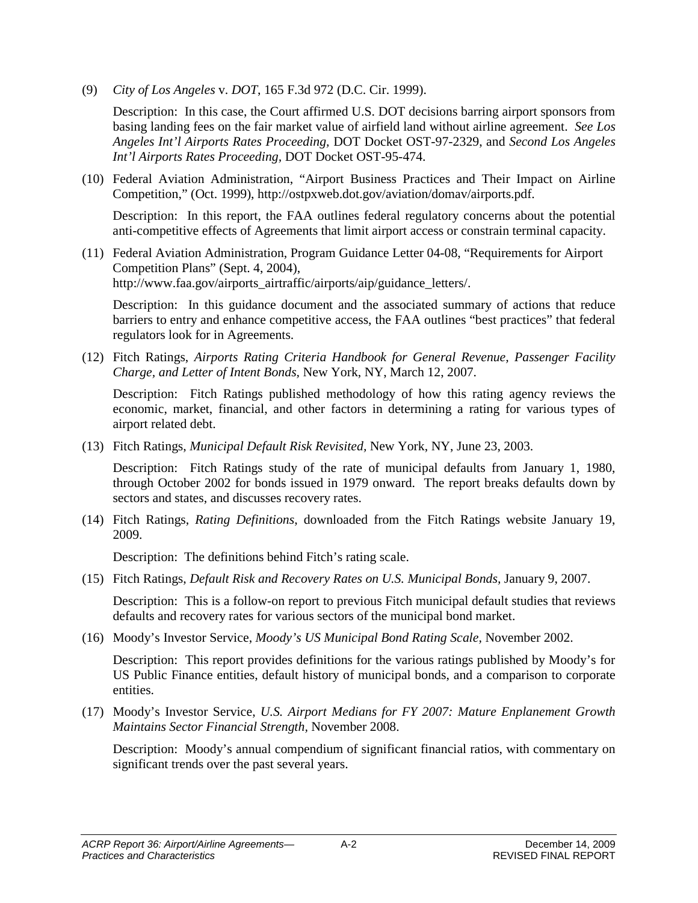(9) *City of Los Angeles* v. *DOT*, 165 F.3d 972 (D.C. Cir. 1999).

Description: In this case, the Court affirmed U.S. DOT decisions barring airport sponsors from basing landing fees on the fair market value of airfield land without airline agreement. *See Los Angeles Int'l Airports Rates Proceeding,* DOT Docket OST-97-2329, and *Second Los Angeles Int'l Airports Rates Proceeding,* DOT Docket OST-95-474.

(10) Federal Aviation Administration, "Airport Business Practices and Their Impact on Airline Competition," (Oct. 1999), http://ostpxweb.dot.gov/aviation/domav/airports.pdf.

Description: In this report, the FAA outlines federal regulatory concerns about the potential anti-competitive effects of Agreements that limit airport access or constrain terminal capacity.

(11) Federal Aviation Administration, Program Guidance Letter 04-08, "Requirements for Airport Competition Plans" (Sept. 4, 2004), http://www.faa.gov/airports\_airtraffic/airports/aip/guidance\_letters/.

Description: In this guidance document and the associated summary of actions that reduce barriers to entry and enhance competitive access, the FAA outlines "best practices" that federal regulators look for in Agreements.

(12) Fitch Ratings, *Airports Rating Criteria Handbook for General Revenue, Passenger Facility Charge, and Letter of Intent Bonds,* New York, NY, March 12, 2007.

Description: Fitch Ratings published methodology of how this rating agency reviews the economic, market, financial, and other factors in determining a rating for various types of airport related debt.

(13) Fitch Ratings, *Municipal Default Risk Revisited,* New York, NY, June 23, 2003.

Description: Fitch Ratings study of the rate of municipal defaults from January 1, 1980, through October 2002 for bonds issued in 1979 onward. The report breaks defaults down by sectors and states, and discusses recovery rates.

(14) Fitch Ratings, *Rating Definitions*, downloaded from the Fitch Ratings website January 19, 2009.

Description: The definitions behind Fitch's rating scale.

(15) Fitch Ratings, *Default Risk and Recovery Rates on U.S. Municipal Bonds,* January 9, 2007.

Description: This is a follow-on report to previous Fitch municipal default studies that reviews defaults and recovery rates for various sectors of the municipal bond market.

(16) Moody's Investor Service, *Moody's US Municipal Bond Rating Scale,* November 2002.

Description: This report provides definitions for the various ratings published by Moody's for US Public Finance entities, default history of municipal bonds, and a comparison to corporate entities.

(17) Moody's Investor Service, *U.S. Airport Medians for FY 2007: Mature Enplanement Growth Maintains Sector Financial Strength,* November 2008.

Description: Moody's annual compendium of significant financial ratios, with commentary on significant trends over the past several years.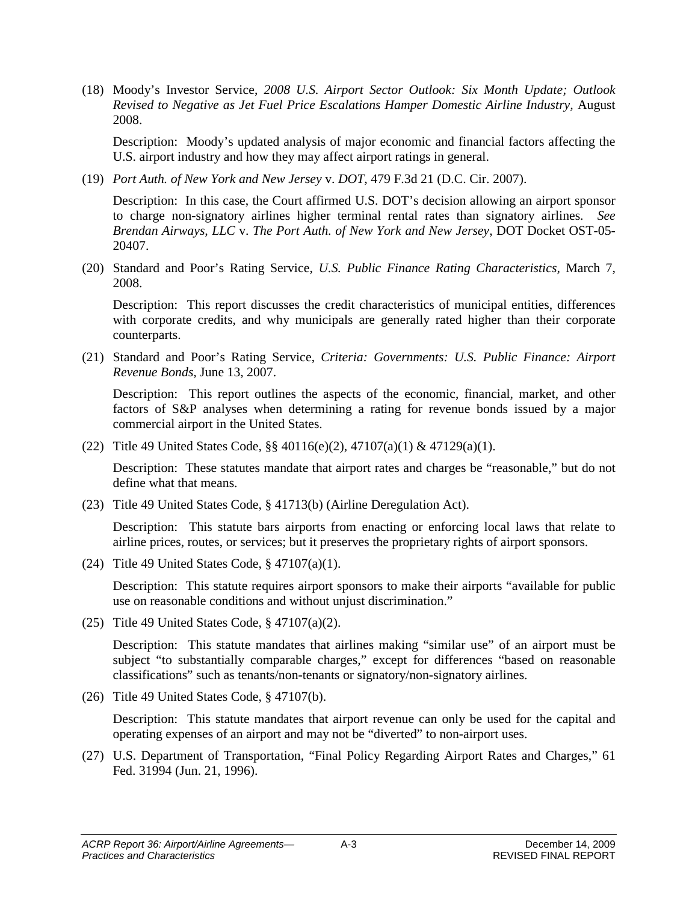(18) Moody's Investor Service, *2008 U.S. Airport Sector Outlook: Six Month Update; Outlook Revised to Negative as Jet Fuel Price Escalations Hamper Domestic Airline Industry,* August 2008.

Description: Moody's updated analysis of major economic and financial factors affecting the U.S. airport industry and how they may affect airport ratings in general.

(19) *Port Auth. of New York and New Jersey* v. *DOT*, 479 F.3d 21 (D.C. Cir. 2007).

Description: In this case, the Court affirmed U.S. DOT's decision allowing an airport sponsor to charge non-signatory airlines higher terminal rental rates than signatory airlines. *See Brendan Airways, LLC* v. *The Port Auth. of New York and New Jersey*, DOT Docket OST-05- 20407.

(20) Standard and Poor's Rating Service, *U.S. Public Finance Rating Characteristics,* March 7, 2008.

Description: This report discusses the credit characteristics of municipal entities, differences with corporate credits, and why municipals are generally rated higher than their corporate counterparts.

(21) Standard and Poor's Rating Service, *Criteria: Governments: U.S. Public Finance: Airport Revenue Bonds,* June 13, 2007.

Description: This report outlines the aspects of the economic, financial, market, and other factors of S&P analyses when determining a rating for revenue bonds issued by a major commercial airport in the United States.

(22) Title 49 United States Code, §§ 40116(e)(2), 47107(a)(1) & 47129(a)(1).

Description: These statutes mandate that airport rates and charges be "reasonable," but do not define what that means.

(23) Title 49 United States Code, § 41713(b) (Airline Deregulation Act).

Description: This statute bars airports from enacting or enforcing local laws that relate to airline prices, routes, or services; but it preserves the proprietary rights of airport sponsors.

(24) Title 49 United States Code, § 47107(a)(1).

Description: This statute requires airport sponsors to make their airports "available for public use on reasonable conditions and without unjust discrimination."

(25) Title 49 United States Code, § 47107(a)(2).

Description: This statute mandates that airlines making "similar use" of an airport must be subject "to substantially comparable charges," except for differences "based on reasonable classifications" such as tenants/non-tenants or signatory/non-signatory airlines.

(26) Title 49 United States Code, § 47107(b).

Description: This statute mandates that airport revenue can only be used for the capital and operating expenses of an airport and may not be "diverted" to non-airport uses.

(27) U.S. Department of Transportation, "Final Policy Regarding Airport Rates and Charges," 61 Fed. 31994 (Jun. 21, 1996).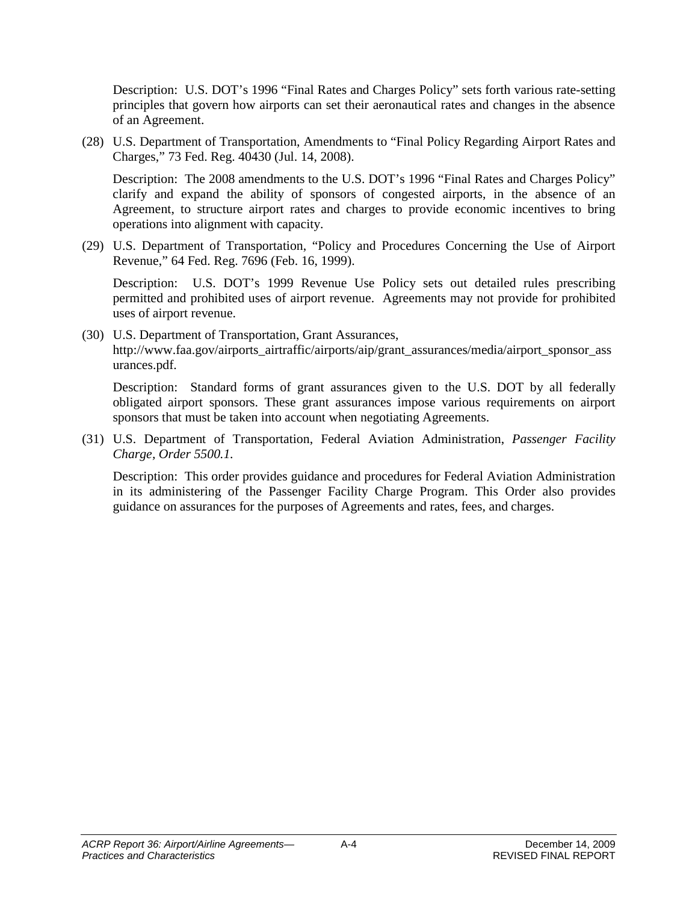Description: U.S. DOT's 1996 "Final Rates and Charges Policy" sets forth various rate-setting principles that govern how airports can set their aeronautical rates and changes in the absence of an Agreement.

(28) U.S. Department of Transportation, Amendments to "Final Policy Regarding Airport Rates and Charges," 73 Fed. Reg. 40430 (Jul. 14, 2008).

Description: The 2008 amendments to the U.S. DOT's 1996 "Final Rates and Charges Policy" clarify and expand the ability of sponsors of congested airports, in the absence of an Agreement, to structure airport rates and charges to provide economic incentives to bring operations into alignment with capacity.

(29) U.S. Department of Transportation, "Policy and Procedures Concerning the Use of Airport Revenue," 64 Fed. Reg. 7696 (Feb. 16, 1999).

Description: U.S. DOT's 1999 Revenue Use Policy sets out detailed rules prescribing permitted and prohibited uses of airport revenue. Agreements may not provide for prohibited uses of airport revenue.

(30) U.S. Department of Transportation, Grant Assurances, http://www.faa.gov/airports\_airtraffic/airports/aip/grant\_assurances/media/airport\_sponsor\_ass urances.pdf.

Description: Standard forms of grant assurances given to the U.S. DOT by all federally obligated airport sponsors. These grant assurances impose various requirements on airport sponsors that must be taken into account when negotiating Agreements.

(31) U.S. Department of Transportation, Federal Aviation Administration, *Passenger Facility Charge, Order 5500.1.*

Description: This order provides guidance and procedures for Federal Aviation Administration in its administering of the Passenger Facility Charge Program. This Order also provides guidance on assurances for the purposes of Agreements and rates, fees, and charges.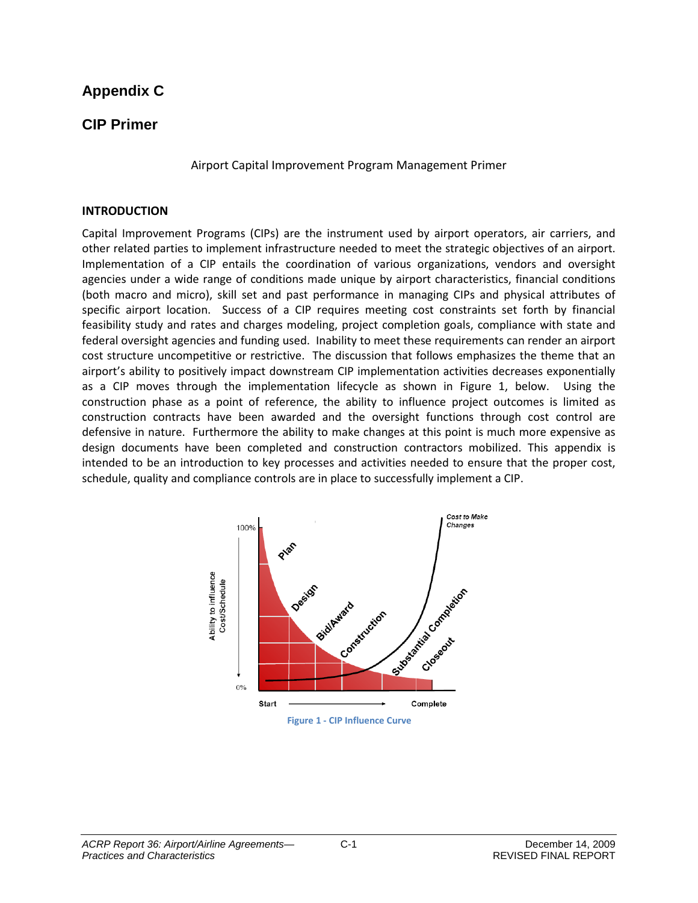## **Appendix C**

## **CIP Primer**

Airport Capital Improvement Program Management Primer

#### **INTRODUCTION**

Capital Improvement Programs (CIPs) are the instrument used by airport operators, air carriers, and other related parties to implement infrastructure needed to meet the strategic objectives of an airport. Implementation of a CIP entails the coordination of various organizations, vendors and oversight agencies under a wide range of conditions made unique by airport characteristics, financial conditions (both macro and micro), skill set and past performance in managing CIPs and physical attributes of specific airport location. Success of a CIP requires meeting cost constraints set forth by financial feasibility study and rates and charges modeling, project completion goals, compliance with state and federal oversight agencies and funding used. Inability to meet these requirements can render an airport cost structure uncompetitive or restrictive. The discussion that follows emphasizes the theme that an airport's ability to positively impact downstream CIP implementation activities decreases exponentially as a CIP moves through the implementation lifecycle as shown in Figure 1, below. Using the construction phase as a point of reference, the ability to influence project outcomes is limited as construction contracts have been awarded and the oversight functions through cost control are defensive in nature. Furthermore the ability to make changes at this point is much more expensive as design documents have been completed and construction contractors mobilized. This appendix is intended to be an introduction to key processes and activities needed to ensure that the proper cost, schedule, quality and compliance controls are in place to successfully implement a CIP.



**Figure 1 - CIP Influence Curve**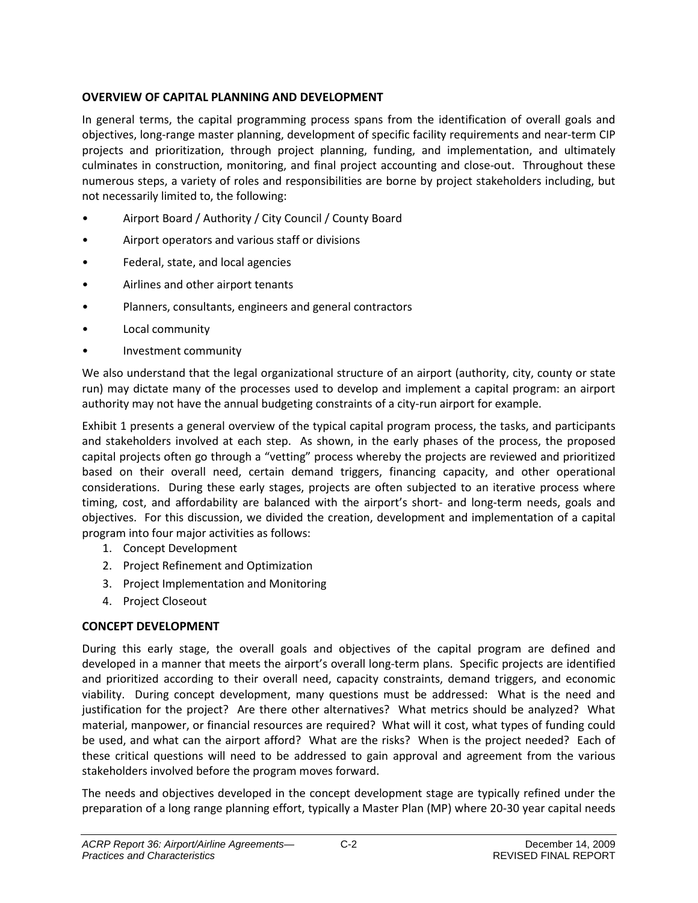#### **OVERVIEW OF CAPITAL PLANNING AND DEVELOPMENT**

In general terms, the capital programming process spans from the identification of overall goals and objectives, long-range master planning, development of specific facility requirements and near-term CIP projects and prioritization, through project planning, funding, and implementation, and ultimately culminates in construction, monitoring, and final project accounting and close-out. Throughout these numerous steps, a variety of roles and responsibilities are borne by project stakeholders including, but not necessarily limited to, the following:

- Airport Board / Authority / City Council / County Board
- Airport operators and various staff or divisions
- Federal, state, and local agencies
- Airlines and other airport tenants
- Planners, consultants, engineers and general contractors
- Local community
- Investment community

We also understand that the legal organizational structure of an airport (authority, city, county or state run) may dictate many of the processes used to develop and implement a capital program: an airport authority may not have the annual budgeting constraints of a city-run airport for example.

Exhibit 1 presents a general overview of the typical capital program process, the tasks, and participants and stakeholders involved at each step. As shown, in the early phases of the process, the proposed capital projects often go through a "vetting" process whereby the projects are reviewed and prioritized based on their overall need, certain demand triggers, financing capacity, and other operational considerations. During these early stages, projects are often subjected to an iterative process where timing, cost, and affordability are balanced with the airport's short- and long-term needs, goals and objectives. For this discussion, we divided the creation, development and implementation of a capital program into four major activities as follows:

- 1. Concept Development
- 2. Project Refinement and Optimization
- 3. Project Implementation and Monitoring
- 4. Project Closeout

#### **CONCEPT DEVELOPMENT**

During this early stage, the overall goals and objectives of the capital program are defined and developed in a manner that meets the airport's overall long-term plans. Specific projects are identified and prioritized according to their overall need, capacity constraints, demand triggers, and economic viability. During concept development, many questions must be addressed: What is the need and justification for the project? Are there other alternatives? What metrics should be analyzed? What material, manpower, or financial resources are required? What will it cost, what types of funding could be used, and what can the airport afford? What are the risks? When is the project needed? Each of these critical questions will need to be addressed to gain approval and agreement from the various stakeholders involved before the program moves forward.

The needs and objectives developed in the concept development stage are typically refined under the preparation of a long range planning effort, typically a Master Plan (MP) where 20-30 year capital needs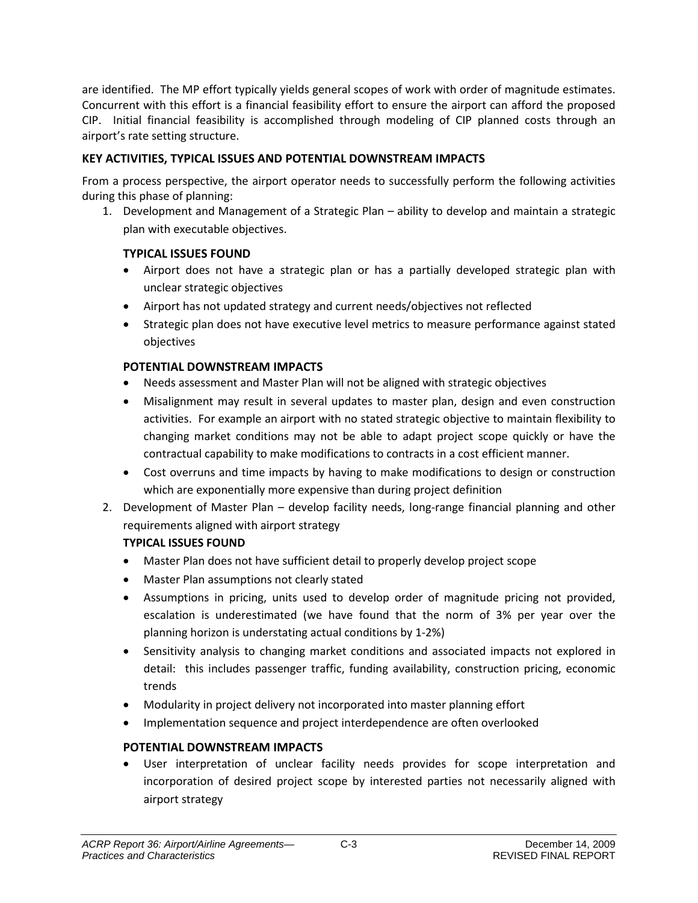are identified. The MP effort typically yields general scopes of work with order of magnitude estimates. Concurrent with this effort is a financial feasibility effort to ensure the airport can afford the proposed CIP. Initial financial feasibility is accomplished through modeling of CIP planned costs through an airport's rate setting structure.

#### **KEY ACTIVITIES, TYPICAL ISSUES AND POTENTIAL DOWNSTREAM IMPACTS**

From a process perspective, the airport operator needs to successfully perform the following activities during this phase of planning:

1. Development and Management of a Strategic Plan – ability to develop and maintain a strategic plan with executable objectives.

#### **TYPICAL ISSUES FOUND**

- Airport does not have a strategic plan or has a partially developed strategic plan with unclear strategic objectives
- Airport has not updated strategy and current needs/objectives not reflected
- Strategic plan does not have executive level metrics to measure performance against stated objectives

#### **POTENTIAL DOWNSTREAM IMPACTS**

- Needs assessment and Master Plan will not be aligned with strategic objectives
- Misalignment may result in several updates to master plan, design and even construction activities. For example an airport with no stated strategic objective to maintain flexibility to changing market conditions may not be able to adapt project scope quickly or have the contractual capability to make modifications to contracts in a cost efficient manner.
- Cost overruns and time impacts by having to make modifications to design or construction which are exponentially more expensive than during project definition
- 2. Development of Master Plan develop facility needs, long-range financial planning and other requirements aligned with airport strategy

#### **TYPICAL ISSUES FOUND**

- Master Plan does not have sufficient detail to properly develop project scope
- Master Plan assumptions not clearly stated
- Assumptions in pricing, units used to develop order of magnitude pricing not provided, escalation is underestimated (we have found that the norm of 3% per year over the planning horizon is understating actual conditions by 1-2%)
- Sensitivity analysis to changing market conditions and associated impacts not explored in detail: this includes passenger traffic, funding availability, construction pricing, economic trends
- Modularity in project delivery not incorporated into master planning effort
- Implementation sequence and project interdependence are often overlooked

#### **POTENTIAL DOWNSTREAM IMPACTS**

• User interpretation of unclear facility needs provides for scope interpretation and incorporation of desired project scope by interested parties not necessarily aligned with airport strategy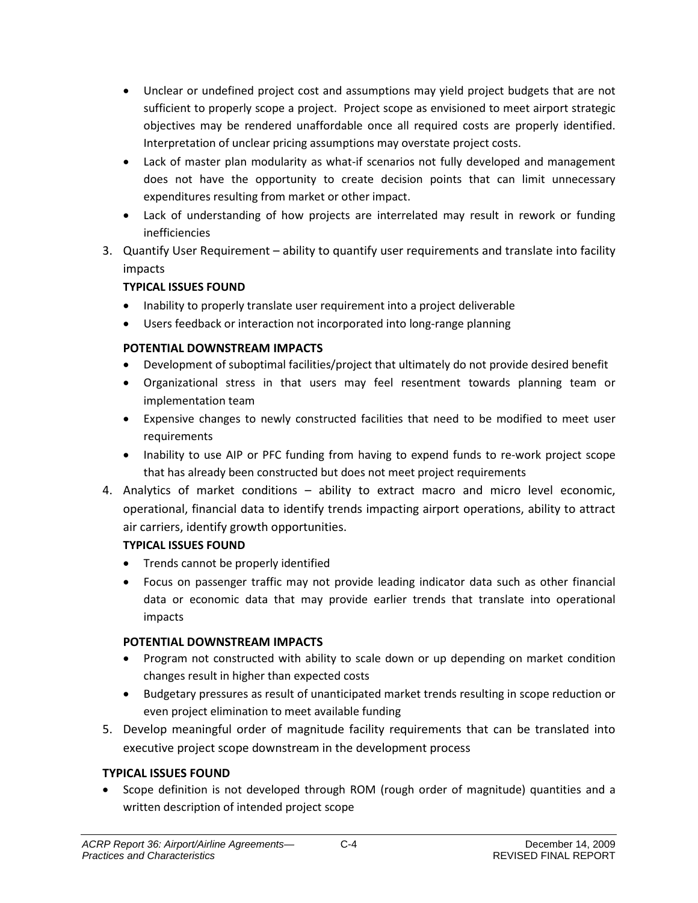- Unclear or undefined project cost and assumptions may yield project budgets that are not sufficient to properly scope a project. Project scope as envisioned to meet airport strategic objectives may be rendered unaffordable once all required costs are properly identified. Interpretation of unclear pricing assumptions may overstate project costs.
- Lack of master plan modularity as what-if scenarios not fully developed and management does not have the opportunity to create decision points that can limit unnecessary expenditures resulting from market or other impact.
- Lack of understanding of how projects are interrelated may result in rework or funding inefficiencies
- 3. Quantify User Requirement ability to quantify user requirements and translate into facility impacts

#### **TYPICAL ISSUES FOUND**

- Inability to properly translate user requirement into a project deliverable
- Users feedback or interaction not incorporated into long-range planning

#### **POTENTIAL DOWNSTREAM IMPACTS**

- Development of suboptimal facilities/project that ultimately do not provide desired benefit
- Organizational stress in that users may feel resentment towards planning team or implementation team
- Expensive changes to newly constructed facilities that need to be modified to meet user requirements
- Inability to use AIP or PFC funding from having to expend funds to re-work project scope that has already been constructed but does not meet project requirements
- 4. Analytics of market conditions ability to extract macro and micro level economic, operational, financial data to identify trends impacting airport operations, ability to attract air carriers, identify growth opportunities.

#### **TYPICAL ISSUES FOUND**

- Trends cannot be properly identified
- Focus on passenger traffic may not provide leading indicator data such as other financial data or economic data that may provide earlier trends that translate into operational impacts

#### **POTENTIAL DOWNSTREAM IMPACTS**

- Program not constructed with ability to scale down or up depending on market condition changes result in higher than expected costs
- Budgetary pressures as result of unanticipated market trends resulting in scope reduction or even project elimination to meet available funding
- 5. Develop meaningful order of magnitude facility requirements that can be translated into executive project scope downstream in the development process

#### **TYPICAL ISSUES FOUND**

• Scope definition is not developed through ROM (rough order of magnitude) quantities and a written description of intended project scope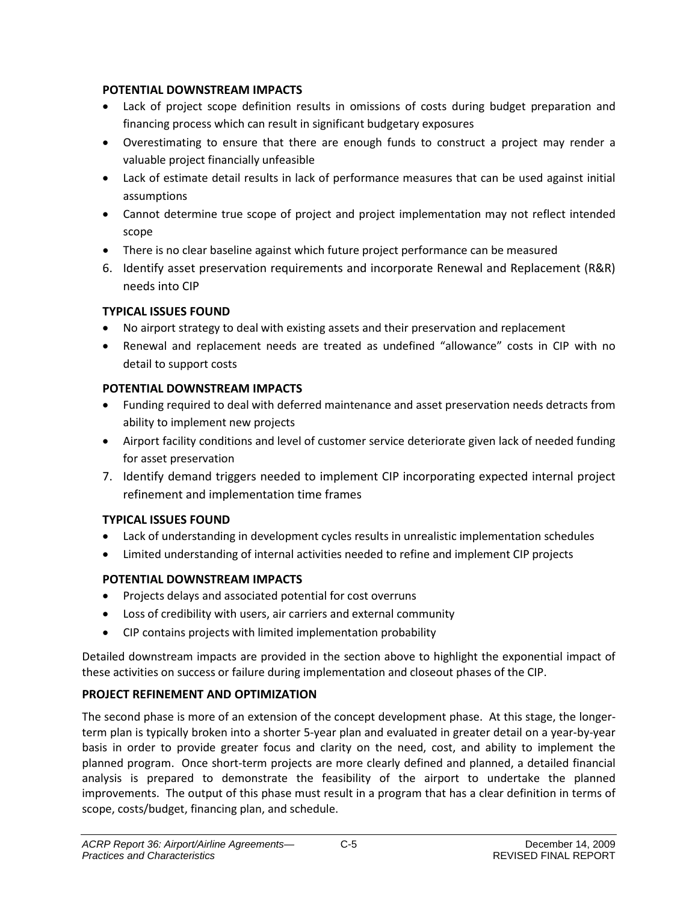#### **POTENTIAL DOWNSTREAM IMPACTS**

- Lack of project scope definition results in omissions of costs during budget preparation and financing process which can result in significant budgetary exposures
- Overestimating to ensure that there are enough funds to construct a project may render a valuable project financially unfeasible
- Lack of estimate detail results in lack of performance measures that can be used against initial assumptions
- Cannot determine true scope of project and project implementation may not reflect intended scope
- There is no clear baseline against which future project performance can be measured
- 6. Identify asset preservation requirements and incorporate Renewal and Replacement (R&R) needs into CIP

#### **TYPICAL ISSUES FOUND**

- No airport strategy to deal with existing assets and their preservation and replacement
- Renewal and replacement needs are treated as undefined "allowance" costs in CIP with no detail to support costs

#### **POTENTIAL DOWNSTREAM IMPACTS**

- Funding required to deal with deferred maintenance and asset preservation needs detracts from ability to implement new projects
- Airport facility conditions and level of customer service deteriorate given lack of needed funding for asset preservation
- 7. Identify demand triggers needed to implement CIP incorporating expected internal project refinement and implementation time frames

#### **TYPICAL ISSUES FOUND**

- Lack of understanding in development cycles results in unrealistic implementation schedules
- Limited understanding of internal activities needed to refine and implement CIP projects

## **POTENTIAL DOWNSTREAM IMPACTS**

- Projects delays and associated potential for cost overruns
- Loss of credibility with users, air carriers and external community
- CIP contains projects with limited implementation probability

Detailed downstream impacts are provided in the section above to highlight the exponential impact of these activities on success or failure during implementation and closeout phases of the CIP.

#### **PROJECT REFINEMENT AND OPTIMIZATION**

The second phase is more of an extension of the concept development phase. At this stage, the longerterm plan is typically broken into a shorter 5-year plan and evaluated in greater detail on a year-by-year basis in order to provide greater focus and clarity on the need, cost, and ability to implement the planned program. Once short-term projects are more clearly defined and planned, a detailed financial analysis is prepared to demonstrate the feasibility of the airport to undertake the planned improvements. The output of this phase must result in a program that has a clear definition in terms of scope, costs/budget, financing plan, and schedule.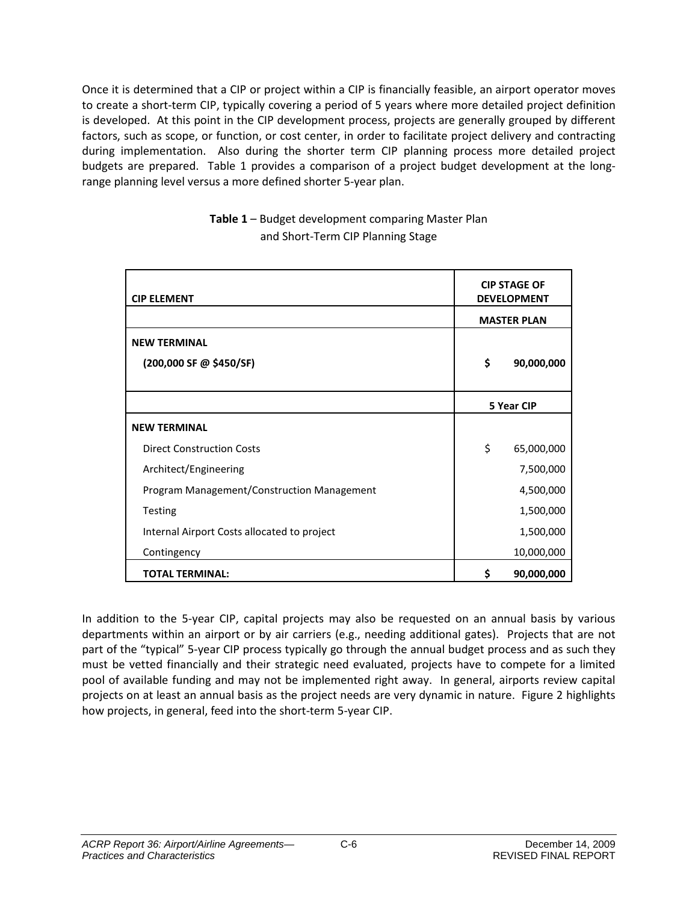Once it is determined that a CIP or project within a CIP is financially feasible, an airport operator moves to create a short-term CIP, typically covering a period of 5 years where more detailed project definition is developed. At this point in the CIP development process, projects are generally grouped by different factors, such as scope, or function, or cost center, in order to facilitate project delivery and contracting during implementation. Also during the shorter term CIP planning process more detailed project budgets are prepared. Table 1 provides a comparison of a project budget development at the longrange planning level versus a more defined shorter 5-year plan.

| <b>CIP ELEMENT</b>                          | <b>CIP STAGE OF</b><br><b>DEVELOPMENT</b> |
|---------------------------------------------|-------------------------------------------|
|                                             | <b>MASTER PLAN</b>                        |
| <b>NEW TERMINAL</b>                         |                                           |
| (200,000 SF @ \$450/SF)                     | \$<br>90,000,000                          |
|                                             |                                           |
|                                             | 5 Year CIP                                |
| <b>NEW TERMINAL</b>                         |                                           |
| <b>Direct Construction Costs</b>            | \$<br>65,000,000                          |
| Architect/Engineering                       | 7,500,000                                 |
| Program Management/Construction Management  | 4,500,000                                 |
| Testing                                     | 1,500,000                                 |
| Internal Airport Costs allocated to project | 1,500,000                                 |
| Contingency                                 | 10,000,000                                |
| <b>TOTAL TERMINAL:</b>                      | \$<br>90,000,000                          |

**Table 1** – Budget development comparing Master Plan and Short-Term CIP Planning Stage

In addition to the 5-year CIP, capital projects may also be requested on an annual basis by various departments within an airport or by air carriers (e.g., needing additional gates). Projects that are not part of the "typical" 5-year CIP process typically go through the annual budget process and as such they must be vetted financially and their strategic need evaluated, projects have to compete for a limited pool of available funding and may not be implemented right away. In general, airports review capital projects on at least an annual basis as the project needs are very dynamic in nature. Figure 2 highlights how projects, in general, feed into the short-term 5-year CIP.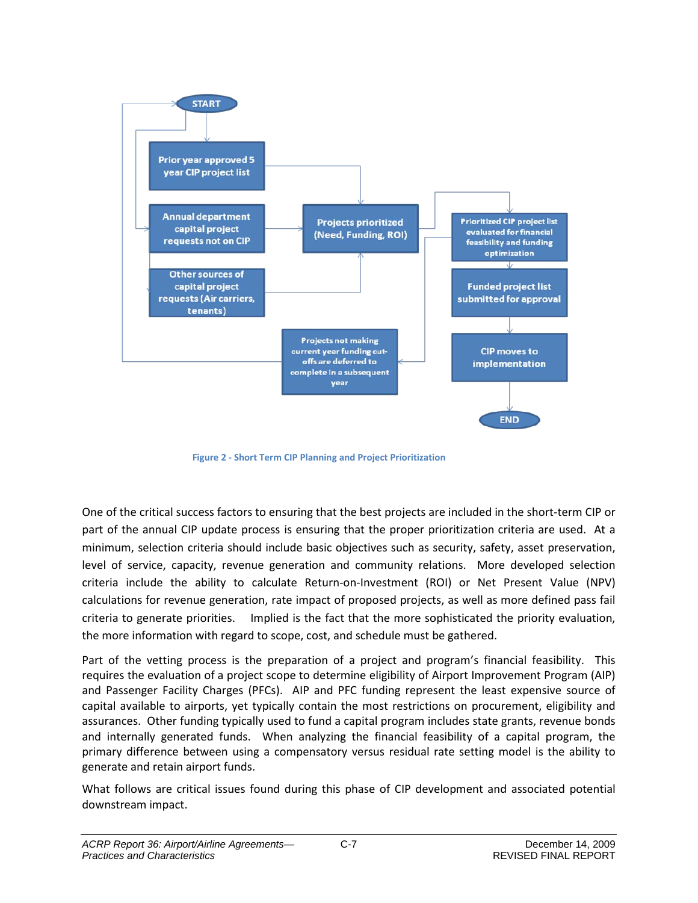

**Figure 2 - Short Term CIP Planning and Project Prioritization**

One of the critical success factors to ensuring that the best projects are included in the short-term CIP or part of the annual CIP update process is ensuring that the proper prioritization criteria are used. At a minimum, selection criteria should include basic objectives such as security, safety, asset preservation, level of service, capacity, revenue generation and community relations. More developed selection criteria include the ability to calculate Return-on-Investment (ROI) or Net Present Value (NPV) calculations for revenue generation, rate impact of proposed projects, as well as more defined pass fail criteria to generate priorities. Implied is the fact that the more sophisticated the priority evaluation, the more information with regard to scope, cost, and schedule must be gathered.

Part of the vetting process is the preparation of a project and program's financial feasibility. This requires the evaluation of a project scope to determine eligibility of Airport Improvement Program (AIP) and Passenger Facility Charges (PFCs). AIP and PFC funding represent the least expensive source of capital available to airports, yet typically contain the most restrictions on procurement, eligibility and assurances. Other funding typically used to fund a capital program includes state grants, revenue bonds and internally generated funds. When analyzing the financial feasibility of a capital program, the primary difference between using a compensatory versus residual rate setting model is the ability to generate and retain airport funds.

What follows are critical issues found during this phase of CIP development and associated potential downstream impact.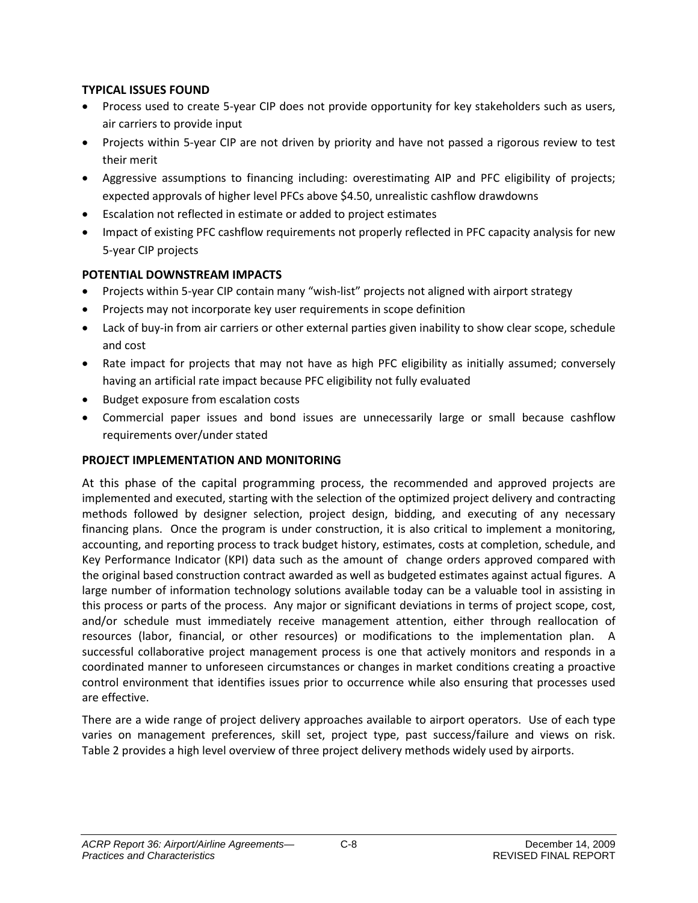#### **TYPICAL ISSUES FOUND**

- Process used to create 5-year CIP does not provide opportunity for key stakeholders such as users, air carriers to provide input
- Projects within 5-year CIP are not driven by priority and have not passed a rigorous review to test their merit
- Aggressive assumptions to financing including: overestimating AIP and PFC eligibility of projects; expected approvals of higher level PFCs above \$4.50, unrealistic cashflow drawdowns
- Escalation not reflected in estimate or added to project estimates
- Impact of existing PFC cashflow requirements not properly reflected in PFC capacity analysis for new 5-year CIP projects

#### **POTENTIAL DOWNSTREAM IMPACTS**

- Projects within 5-year CIP contain many "wish-list" projects not aligned with airport strategy
- Projects may not incorporate key user requirements in scope definition
- Lack of buy-in from air carriers or other external parties given inability to show clear scope, schedule and cost
- Rate impact for projects that may not have as high PFC eligibility as initially assumed; conversely having an artificial rate impact because PFC eligibility not fully evaluated
- Budget exposure from escalation costs
- Commercial paper issues and bond issues are unnecessarily large or small because cashflow requirements over/under stated

#### **PROJECT IMPLEMENTATION AND MONITORING**

At this phase of the capital programming process, the recommended and approved projects are implemented and executed, starting with the selection of the optimized project delivery and contracting methods followed by designer selection, project design, bidding, and executing of any necessary financing plans. Once the program is under construction, it is also critical to implement a monitoring, accounting, and reporting process to track budget history, estimates, costs at completion, schedule, and Key Performance Indicator (KPI) data such as the amount of change orders approved compared with the original based construction contract awarded as well as budgeted estimates against actual figures. A large number of information technology solutions available today can be a valuable tool in assisting in this process or parts of the process. Any major or significant deviations in terms of project scope, cost, and/or schedule must immediately receive management attention, either through reallocation of resources (labor, financial, or other resources) or modifications to the implementation plan. A successful collaborative project management process is one that actively monitors and responds in a coordinated manner to unforeseen circumstances or changes in market conditions creating a proactive control environment that identifies issues prior to occurrence while also ensuring that processes used are effective.

There are a wide range of project delivery approaches available to airport operators. Use of each type varies on management preferences, skill set, project type, past success/failure and views on risk. Table 2 provides a high level overview of three project delivery methods widely used by airports.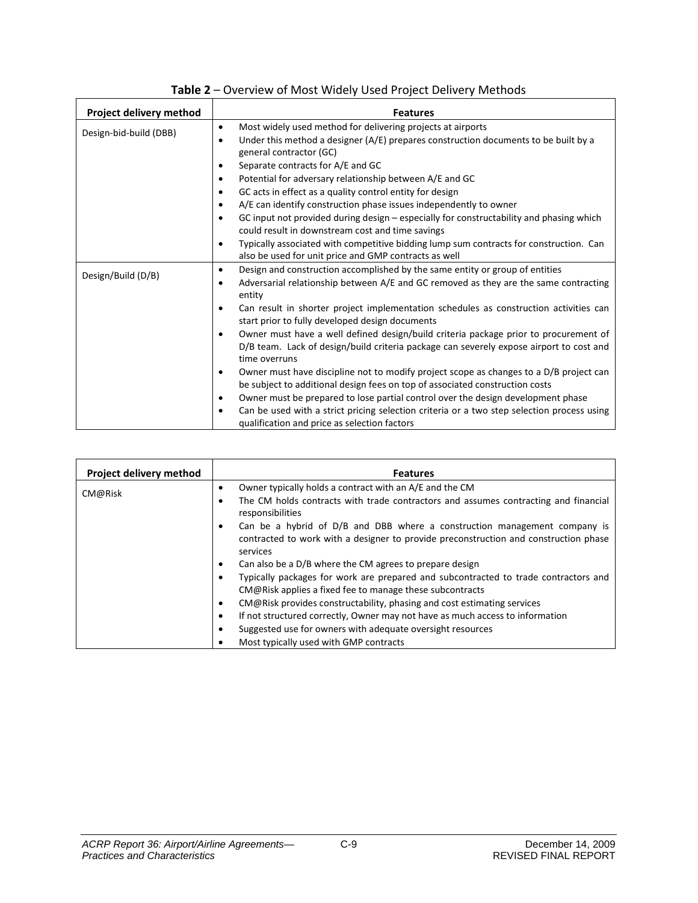| Project delivery method | <b>Features</b>                                                                                                                                                                                       |
|-------------------------|-------------------------------------------------------------------------------------------------------------------------------------------------------------------------------------------------------|
| Design-bid-build (DBB)  | Most widely used method for delivering projects at airports<br>٠                                                                                                                                      |
|                         | Under this method a designer (A/E) prepares construction documents to be built by a<br>٠                                                                                                              |
|                         | general contractor (GC)                                                                                                                                                                               |
|                         | Separate contracts for A/E and GC<br>٠                                                                                                                                                                |
|                         | Potential for adversary relationship between A/E and GC<br>$\bullet$                                                                                                                                  |
|                         | GC acts in effect as a quality control entity for design<br>$\bullet$                                                                                                                                 |
|                         | A/E can identify construction phase issues independently to owner<br>$\bullet$                                                                                                                        |
|                         | GC input not provided during design - especially for constructability and phasing which<br>٠                                                                                                          |
|                         | could result in downstream cost and time savings                                                                                                                                                      |
|                         | Typically associated with competitive bidding lump sum contracts for construction. Can<br>٠                                                                                                           |
|                         | also be used for unit price and GMP contracts as well                                                                                                                                                 |
| Design/Build (D/B)      | Design and construction accomplished by the same entity or group of entities<br>٠                                                                                                                     |
|                         | Adversarial relationship between A/E and GC removed as they are the same contracting<br>٠<br>entity                                                                                                   |
|                         | Can result in shorter project implementation schedules as construction activities can<br>٠<br>start prior to fully developed design documents                                                         |
|                         | Owner must have a well defined design/build criteria package prior to procurement of<br>٠<br>D/B team. Lack of design/build criteria package can severely expose airport to cost and<br>time overruns |
|                         | Owner must have discipline not to modify project scope as changes to a D/B project can<br>٠<br>be subject to additional design fees on top of associated construction costs                           |
|                         | Owner must be prepared to lose partial control over the design development phase<br>$\bullet$                                                                                                         |
|                         | Can be used with a strict pricing selection criteria or a two step selection process using<br>٠<br>qualification and price as selection factors                                                       |

| Table 2 – Overview of Most Widely Used Project Delivery Methods |  |
|-----------------------------------------------------------------|--|
|                                                                 |  |

| Project delivery method | <b>Features</b>                                                                                                                                                               |
|-------------------------|-------------------------------------------------------------------------------------------------------------------------------------------------------------------------------|
| CM@Risk                 | Owner typically holds a contract with an A/E and the CM<br>٠                                                                                                                  |
|                         | The CM holds contracts with trade contractors and assumes contracting and financial<br>responsibilities                                                                       |
|                         | Can be a hybrid of D/B and DBB where a construction management company is<br>contracted to work with a designer to provide preconstruction and construction phase<br>services |
|                         | Can also be a D/B where the CM agrees to prepare design<br>$\bullet$                                                                                                          |
|                         | Typically packages for work are prepared and subcontracted to trade contractors and                                                                                           |
|                         | CM@Risk applies a fixed fee to manage these subcontracts                                                                                                                      |
|                         | CM@Risk provides constructability, phasing and cost estimating services<br>$\bullet$                                                                                          |
|                         | If not structured correctly, Owner may not have as much access to information<br>٠                                                                                            |
|                         | Suggested use for owners with adequate oversight resources                                                                                                                    |
|                         | Most typically used with GMP contracts                                                                                                                                        |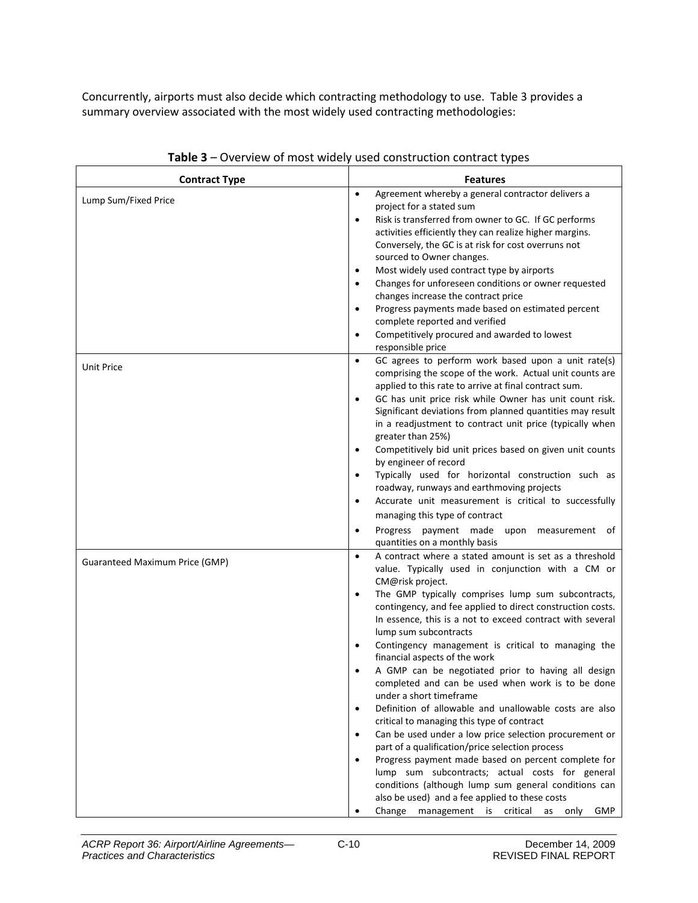Concurrently, airports must also decide which contracting methodology to use. Table 3 provides a summary overview associated with the most widely used contracting methodologies:

| <b>Contract Type</b>           | <b>Features</b>                                                                                                                   |
|--------------------------------|-----------------------------------------------------------------------------------------------------------------------------------|
| Lump Sum/Fixed Price           | Agreement whereby a general contractor delivers a<br>$\bullet$<br>project for a stated sum                                        |
|                                | Risk is transferred from owner to GC. If GC performs<br>$\bullet$                                                                 |
|                                | activities efficiently they can realize higher margins.                                                                           |
|                                | Conversely, the GC is at risk for cost overruns not                                                                               |
|                                | sourced to Owner changes.                                                                                                         |
|                                | Most widely used contract type by airports<br>$\bullet$                                                                           |
|                                | Changes for unforeseen conditions or owner requested<br>$\bullet$                                                                 |
|                                | changes increase the contract price                                                                                               |
|                                | Progress payments made based on estimated percent<br>$\bullet$<br>complete reported and verified                                  |
|                                | Competitively procured and awarded to lowest<br>$\bullet$<br>responsible price                                                    |
| Unit Price                     | GC agrees to perform work based upon a unit rate(s)<br>$\bullet$                                                                  |
|                                | comprising the scope of the work. Actual unit counts are                                                                          |
|                                | applied to this rate to arrive at final contract sum.                                                                             |
|                                | GC has unit price risk while Owner has unit count risk.<br>$\bullet$<br>Significant deviations from planned quantities may result |
|                                | in a readjustment to contract unit price (typically when                                                                          |
|                                | greater than 25%)                                                                                                                 |
|                                | Competitively bid unit prices based on given unit counts<br>$\bullet$                                                             |
|                                | by engineer of record                                                                                                             |
|                                | Typically used for horizontal construction such as<br>$\bullet$                                                                   |
|                                | roadway, runways and earthmoving projects                                                                                         |
|                                | Accurate unit measurement is critical to successfully<br>$\bullet$                                                                |
|                                | managing this type of contract                                                                                                    |
|                                | Progress payment made upon measurement of<br>$\bullet$<br>quantities on a monthly basis                                           |
| Guaranteed Maximum Price (GMP) | A contract where a stated amount is set as a threshold<br>$\bullet$                                                               |
|                                | value. Typically used in conjunction with a CM or<br>CM@risk project.                                                             |
|                                | The GMP typically comprises lump sum subcontracts,<br>$\bullet$                                                                   |
|                                | contingency, and fee applied to direct construction costs.                                                                        |
|                                | In essence, this is a not to exceed contract with several                                                                         |
|                                | lump sum subcontracts                                                                                                             |
|                                | Contingency management is critical to managing the<br>$\bullet$<br>financial aspects of the work                                  |
|                                | A GMP can be negotiated prior to having all design<br>completed and can be used when work is to be done                           |
|                                | under a short timeframe                                                                                                           |
|                                | Definition of allowable and unallowable costs are also<br>$\bullet$                                                               |
|                                | critical to managing this type of contract                                                                                        |
|                                | Can be used under a low price selection procurement or<br>$\bullet$                                                               |
|                                | part of a qualification/price selection process<br>Progress payment made based on percent complete for<br>$\bullet$               |
|                                | lump sum subcontracts; actual costs for general                                                                                   |
|                                | conditions (although lump sum general conditions can                                                                              |
|                                | also be used) and a fee applied to these costs                                                                                    |
|                                | Change management is critical as only GMP                                                                                         |

**Table 3** – Overview of most widely used construction contract types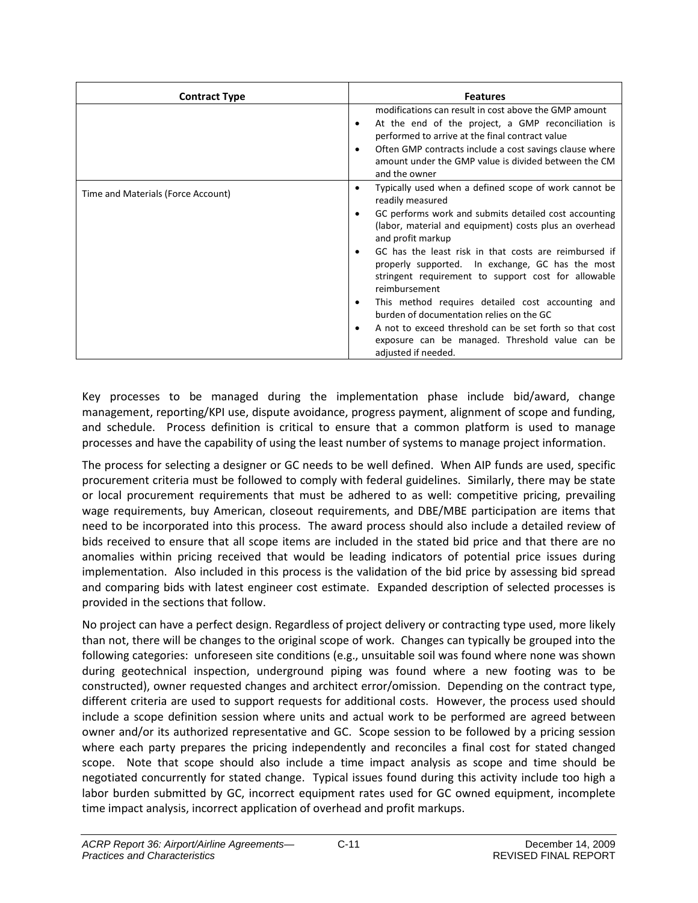| <b>Contract Type</b>               | <b>Features</b>                                                                                                                                                                                                                                                                                                                                                                                                                                                                                                                                                                                                                                                                       |
|------------------------------------|---------------------------------------------------------------------------------------------------------------------------------------------------------------------------------------------------------------------------------------------------------------------------------------------------------------------------------------------------------------------------------------------------------------------------------------------------------------------------------------------------------------------------------------------------------------------------------------------------------------------------------------------------------------------------------------|
|                                    | modifications can result in cost above the GMP amount<br>At the end of the project, a GMP reconciliation is<br>٠<br>performed to arrive at the final contract value<br>Often GMP contracts include a cost savings clause where<br>٠<br>amount under the GMP value is divided between the CM<br>and the owner                                                                                                                                                                                                                                                                                                                                                                          |
| Time and Materials (Force Account) | Typically used when a defined scope of work cannot be<br>٠<br>readily measured<br>GC performs work and submits detailed cost accounting<br>$\bullet$<br>(labor, material and equipment) costs plus an overhead<br>and profit markup<br>GC has the least risk in that costs are reimbursed if<br>$\bullet$<br>properly supported. In exchange, GC has the most<br>stringent requirement to support cost for allowable<br>reimbursement<br>This method requires detailed cost accounting and<br>٠<br>burden of documentation relies on the GC<br>A not to exceed threshold can be set forth so that cost<br>٠<br>exposure can be managed. Threshold value can be<br>adjusted if needed. |

Key processes to be managed during the implementation phase include bid/award, change management, reporting/KPI use, dispute avoidance, progress payment, alignment of scope and funding, and schedule. Process definition is critical to ensure that a common platform is used to manage processes and have the capability of using the least number of systems to manage project information.

The process for selecting a designer or GC needs to be well defined. When AIP funds are used, specific procurement criteria must be followed to comply with federal guidelines. Similarly, there may be state or local procurement requirements that must be adhered to as well: competitive pricing, prevailing wage requirements, buy American, closeout requirements, and DBE/MBE participation are items that need to be incorporated into this process. The award process should also include a detailed review of bids received to ensure that all scope items are included in the stated bid price and that there are no anomalies within pricing received that would be leading indicators of potential price issues during implementation. Also included in this process is the validation of the bid price by assessing bid spread and comparing bids with latest engineer cost estimate. Expanded description of selected processes is provided in the sections that follow.

No project can have a perfect design. Regardless of project delivery or contracting type used, more likely than not, there will be changes to the original scope of work. Changes can typically be grouped into the following categories: unforeseen site conditions (e.g., unsuitable soil was found where none was shown during geotechnical inspection, underground piping was found where a new footing was to be constructed), owner requested changes and architect error/omission. Depending on the contract type, different criteria are used to support requests for additional costs. However, the process used should include a scope definition session where units and actual work to be performed are agreed between owner and/or its authorized representative and GC. Scope session to be followed by a pricing session where each party prepares the pricing independently and reconciles a final cost for stated changed scope. Note that scope should also include a time impact analysis as scope and time should be negotiated concurrently for stated change. Typical issues found during this activity include too high a labor burden submitted by GC, incorrect equipment rates used for GC owned equipment, incomplete time impact analysis, incorrect application of overhead and profit markups.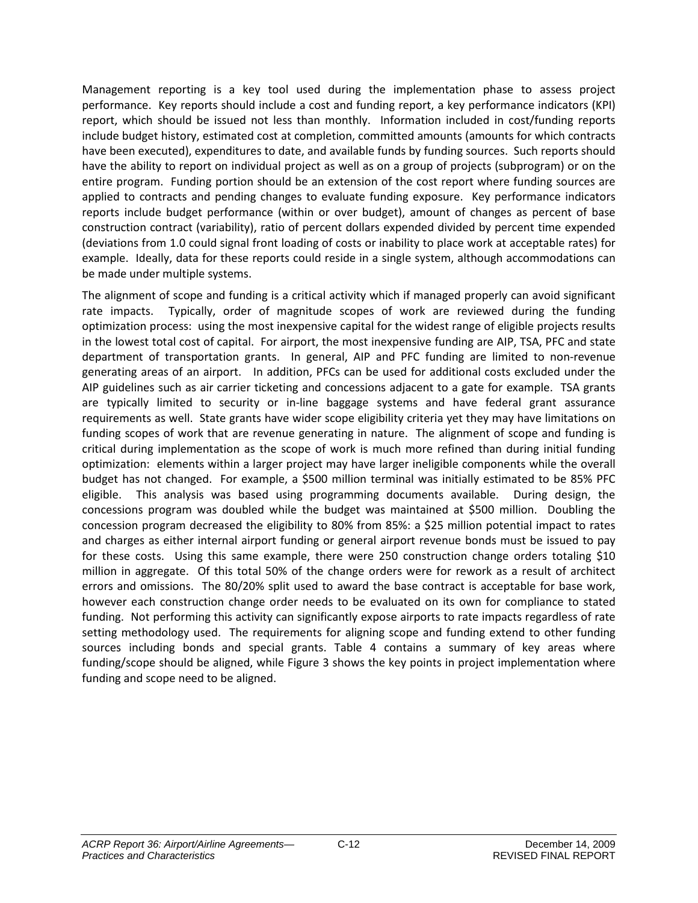Management reporting is a key tool used during the implementation phase to assess project performance. Key reports should include a cost and funding report, a key performance indicators (KPI) report, which should be issued not less than monthly. Information included in cost/funding reports include budget history, estimated cost at completion, committed amounts (amounts for which contracts have been executed), expenditures to date, and available funds by funding sources. Such reports should have the ability to report on individual project as well as on a group of projects (subprogram) or on the entire program. Funding portion should be an extension of the cost report where funding sources are applied to contracts and pending changes to evaluate funding exposure. Key performance indicators reports include budget performance (within or over budget), amount of changes as percent of base construction contract (variability), ratio of percent dollars expended divided by percent time expended (deviations from 1.0 could signal front loading of costs or inability to place work at acceptable rates) for example. Ideally, data for these reports could reside in a single system, although accommodations can be made under multiple systems.

The alignment of scope and funding is a critical activity which if managed properly can avoid significant rate impacts. Typically, order of magnitude scopes of work are reviewed during the funding optimization process: using the most inexpensive capital for the widest range of eligible projects results in the lowest total cost of capital. For airport, the most inexpensive funding are AIP, TSA, PFC and state department of transportation grants. In general, AIP and PFC funding are limited to non-revenue generating areas of an airport. In addition, PFCs can be used for additional costs excluded under the AIP guidelines such as air carrier ticketing and concessions adjacent to a gate for example. TSA grants are typically limited to security or in-line baggage systems and have federal grant assurance requirements as well. State grants have wider scope eligibility criteria yet they may have limitations on funding scopes of work that are revenue generating in nature. The alignment of scope and funding is critical during implementation as the scope of work is much more refined than during initial funding optimization: elements within a larger project may have larger ineligible components while the overall budget has not changed. For example, a \$500 million terminal was initially estimated to be 85% PFC eligible. This analysis was based using programming documents available. During design, the concessions program was doubled while the budget was maintained at \$500 million. Doubling the concession program decreased the eligibility to 80% from 85%: a \$25 million potential impact to rates and charges as either internal airport funding or general airport revenue bonds must be issued to pay for these costs. Using this same example, there were 250 construction change orders totaling \$10 million in aggregate. Of this total 50% of the change orders were for rework as a result of architect errors and omissions. The 80/20% split used to award the base contract is acceptable for base work, however each construction change order needs to be evaluated on its own for compliance to stated funding. Not performing this activity can significantly expose airports to rate impacts regardless of rate setting methodology used. The requirements for aligning scope and funding extend to other funding sources including bonds and special grants. Table 4 contains a summary of key areas where funding/scope should be aligned, while Figure 3 shows the key points in project implementation where funding and scope need to be aligned.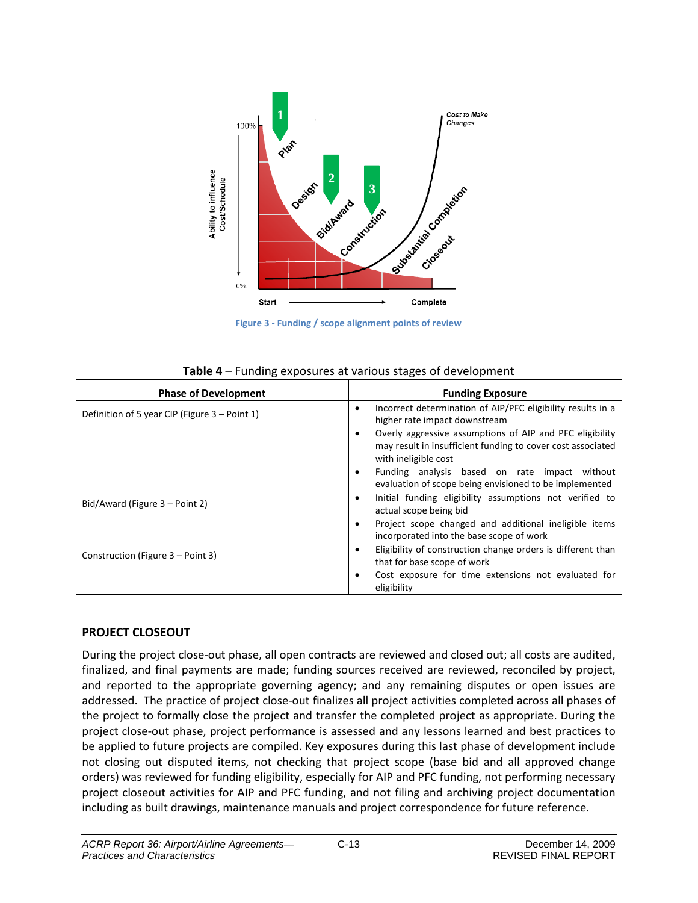

**Figure 3 - Funding / scope alignment points of review**

| Table 4 - Funding exposures at various stages of development |  |  |
|--------------------------------------------------------------|--|--|
|--------------------------------------------------------------|--|--|

| <b>Phase of Development</b>                   | <b>Funding Exposure</b>                                                                                                                         |  |
|-----------------------------------------------|-------------------------------------------------------------------------------------------------------------------------------------------------|--|
| Definition of 5 year CIP (Figure 3 – Point 1) | Incorrect determination of AIP/PFC eligibility results in a<br>$\bullet$<br>higher rate impact downstream                                       |  |
|                                               | Overly aggressive assumptions of AIP and PFC eligibility<br>may result in insufficient funding to cover cost associated<br>with ineligible cost |  |
|                                               | Funding analysis based on rate impact<br>without<br>$\bullet$<br>evaluation of scope being envisioned to be implemented                         |  |
| Bid/Award (Figure $3 -$ Point 2)              | Initial funding eligibility assumptions not verified to<br>$\bullet$<br>actual scope being bid                                                  |  |
|                                               | Project scope changed and additional ineligible items<br>incorporated into the base scope of work                                               |  |
| Construction (Figure 3 – Point 3)             | Eligibility of construction change orders is different than<br>$\bullet$<br>that for base scope of work                                         |  |
|                                               | Cost exposure for time extensions not evaluated for<br>eligibility                                                                              |  |

#### **PROJECT CLOSEOUT**

During the project close-out phase, all open contracts are reviewed and closed out; all costs are audited, finalized, and final payments are made; funding sources received are reviewed, reconciled by project, and reported to the appropriate governing agency; and any remaining disputes or open issues are addressed. The practice of project close-out finalizes all project activities completed across all phases of the project to formally close the project and transfer the completed project as appropriate. During the project close-out phase, project performance is assessed and any lessons learned and best practices to be applied to future projects are compiled. Key exposures during this last phase of development include not closing out disputed items, not checking that project scope (base bid and all approved change orders) was reviewed for funding eligibility, especially for AIP and PFC funding, not performing necessary project closeout activities for AIP and PFC funding, and not filing and archiving project documentation including as built drawings, maintenance manuals and project correspondence for future reference.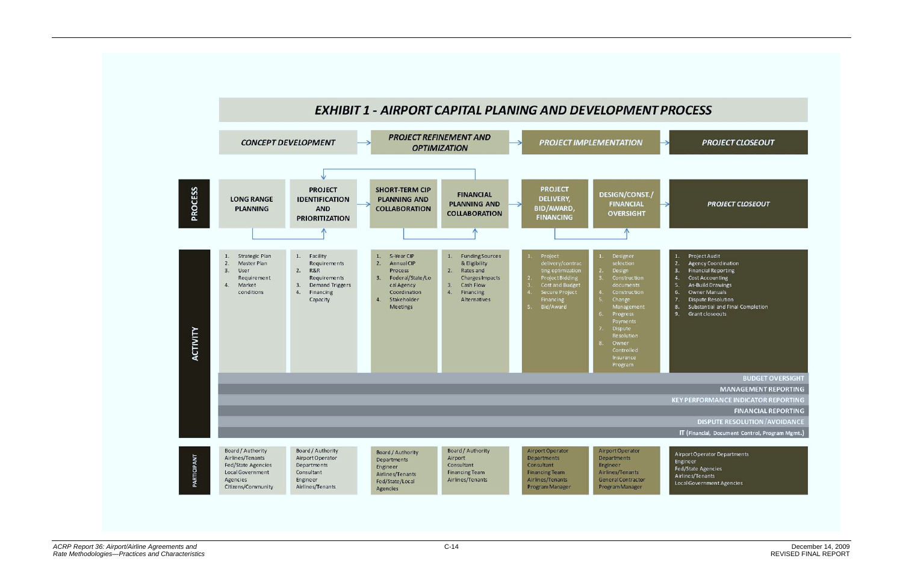

## **PROJECT CLOSEOUT**

#### **PROJECT CLOSEOUT**

- Project Audit
- **Agency Coordination**  $\overline{z}$
- $\overline{3}$ **Financial Reporting**
- **Cost Accounting**  $\overline{4}$ .
- As-Build Drawings
- Owner Manuals  $\mathbf{f}$
- **Dispute Resolution**
- Substantial and Final Completion  $\mathbf{R}$
- Grant closeouts  $\overline{9}$

#### **BUDGET OVERSIGHT**

**MANAGEMENT REPORTING** 

**KEY PERFORMANCE INDICATOR REPORTING** 

**FINANCIAL REPORTING** 

**DISPUTE RESOLUTION/AVOIDANCE** 

IT (Financial, Document Control, Program Mgmt.)

Airport Operator Departments Engineer Fed/State Agencies Airlines/Tenants Local Government Agencies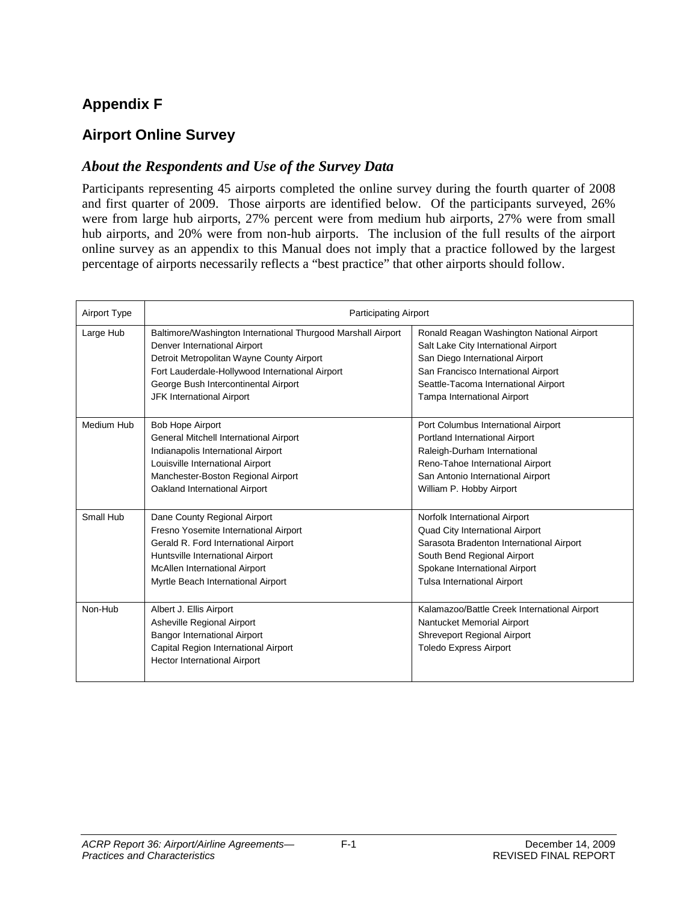## **Appendix F**

## **Airport Online Survey**

#### *About the Respondents and Use of the Survey Data*

Participants representing 45 airports completed the online survey during the fourth quarter of 2008 and first quarter of 2009. Those airports are identified below. Of the participants surveyed, 26% were from large hub airports, 27% percent were from medium hub airports, 27% were from small hub airports, and 20% were from non-hub airports. The inclusion of the full results of the airport online survey as an appendix to this Manual does not imply that a practice followed by the largest percentage of airports necessarily reflects a "best practice" that other airports should follow.

| Airport Type | <b>Participating Airport</b>                                                                                                                                                                                                                                      |                                                                                                                                                                                                                                    |
|--------------|-------------------------------------------------------------------------------------------------------------------------------------------------------------------------------------------------------------------------------------------------------------------|------------------------------------------------------------------------------------------------------------------------------------------------------------------------------------------------------------------------------------|
| Large Hub    | Baltimore/Washington International Thurgood Marshall Airport<br>Denver International Airport<br>Detroit Metropolitan Wayne County Airport<br>Fort Lauderdale-Hollywood International Airport<br>George Bush Intercontinental Airport<br>JFK International Airport | Ronald Reagan Washington National Airport<br>Salt Lake City International Airport<br>San Diego International Airport<br>San Francisco International Airport<br>Seattle-Tacoma International Airport<br>Tampa International Airport |
| Medium Hub   | <b>Bob Hope Airport</b><br>General Mitchell International Airport<br>Indianapolis International Airport<br>Louisville International Airport<br>Manchester-Boston Regional Airport<br>Oakland International Airport                                                | Port Columbus International Airport<br>Portland International Airport<br>Raleigh-Durham International<br>Reno-Tahoe International Airport<br>San Antonio International Airport<br>William P. Hobby Airport                         |
| Small Hub    | Dane County Regional Airport<br>Fresno Yosemite International Airport<br>Gerald R. Ford International Airport<br>Huntsville International Airport<br>McAllen International Airport<br>Myrtle Beach International Airport                                          | Norfolk International Airport<br>Quad City International Airport<br>Sarasota Bradenton International Airport<br>South Bend Regional Airport<br>Spokane International Airport<br><b>Tulsa International Airport</b>                 |
| Non-Hub      | Albert J. Ellis Airport<br>Asheville Regional Airport<br><b>Bangor International Airport</b><br>Capital Region International Airport<br><b>Hector International Airport</b>                                                                                       | Kalamazoo/Battle Creek International Airport<br>Nantucket Memorial Airport<br>Shreveport Regional Airport<br><b>Toledo Express Airport</b>                                                                                         |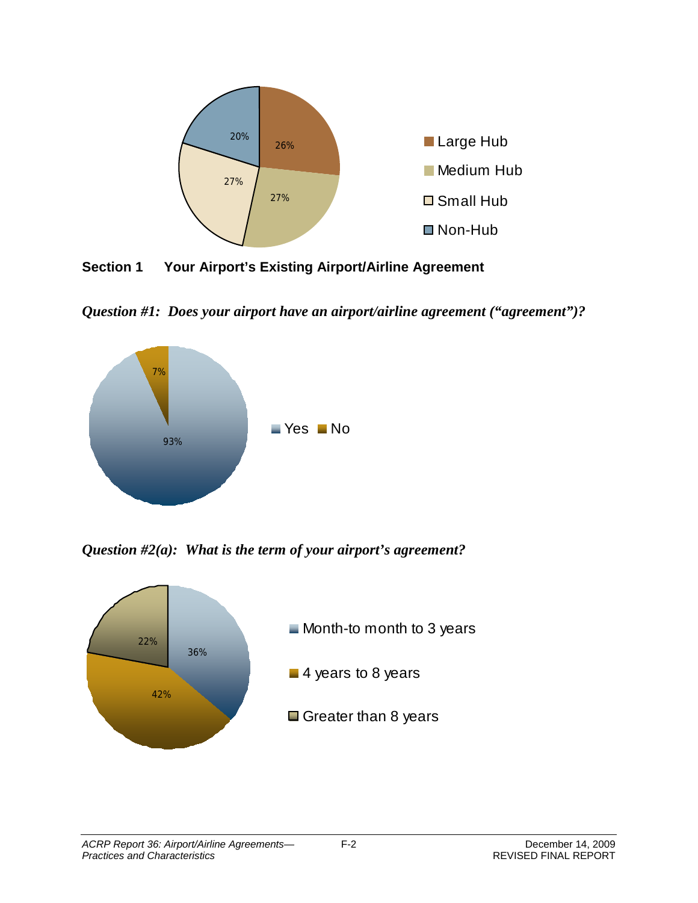

**Section 1 Your Airport's Existing Airport/Airline Agreement**

*Question #1: Does your airport have an airport/airline agreement ("agreement")?*



*Question #2(a): What is the term of your airport's agreement?*

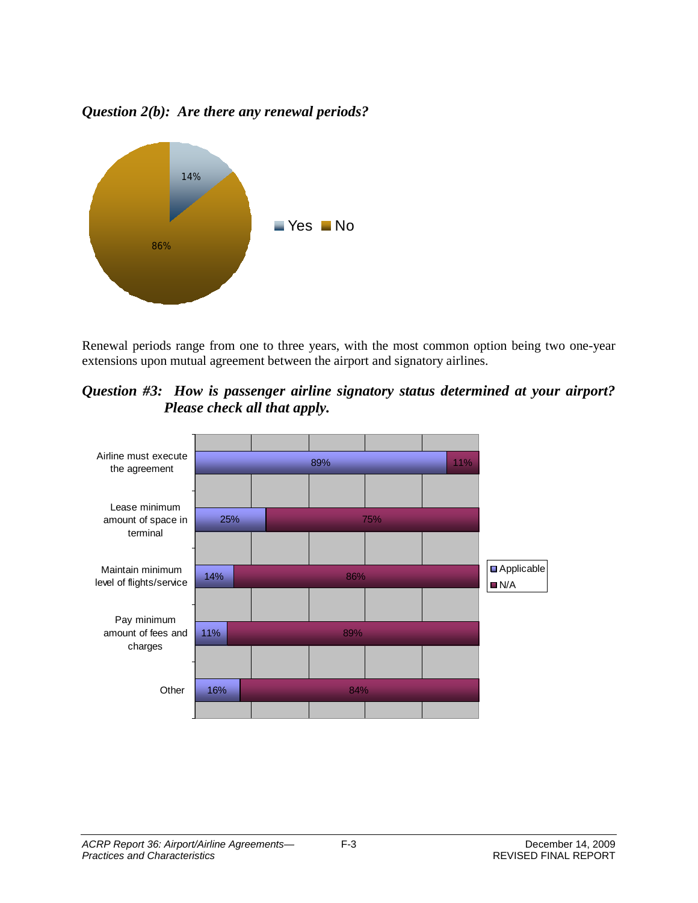*Question 2(b): Are there any renewal periods?*



Renewal periods range from one to three years, with the most common option being two one-year extensions upon mutual agreement between the airport and signatory airlines.

*Question #3: How is passenger airline signatory status determined at your airport? Please check all that apply.*

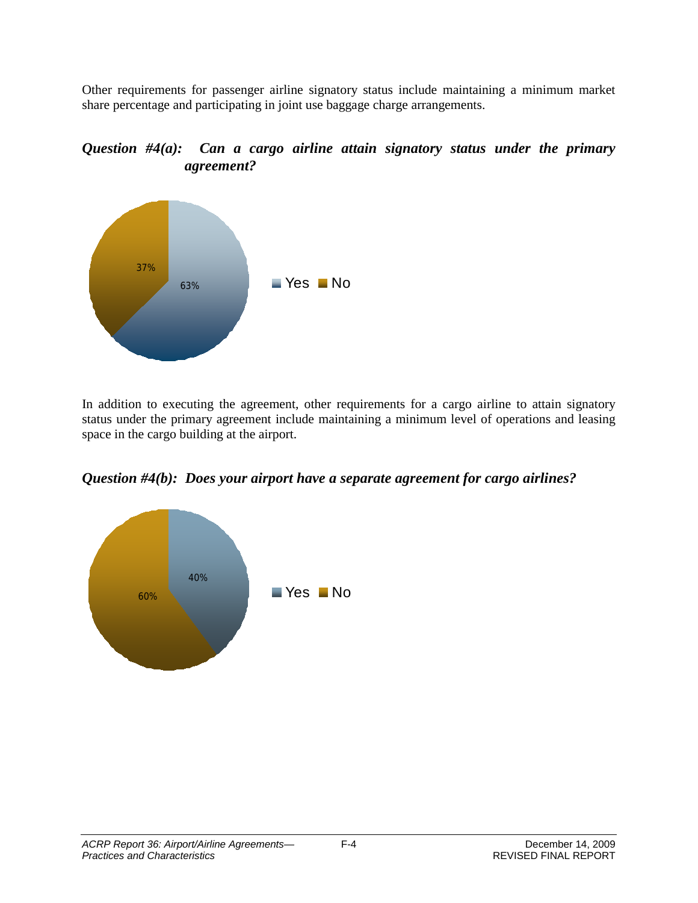Other requirements for passenger airline signatory status include maintaining a minimum market share percentage and participating in joint use baggage charge arrangements.

*Question #4(a): Can a cargo airline attain signatory status under the primary agreement?*



In addition to executing the agreement, other requirements for a cargo airline to attain signatory status under the primary agreement include maintaining a minimum level of operations and leasing space in the cargo building at the airport.

*Question #4(b): Does your airport have a separate agreement for cargo airlines?*

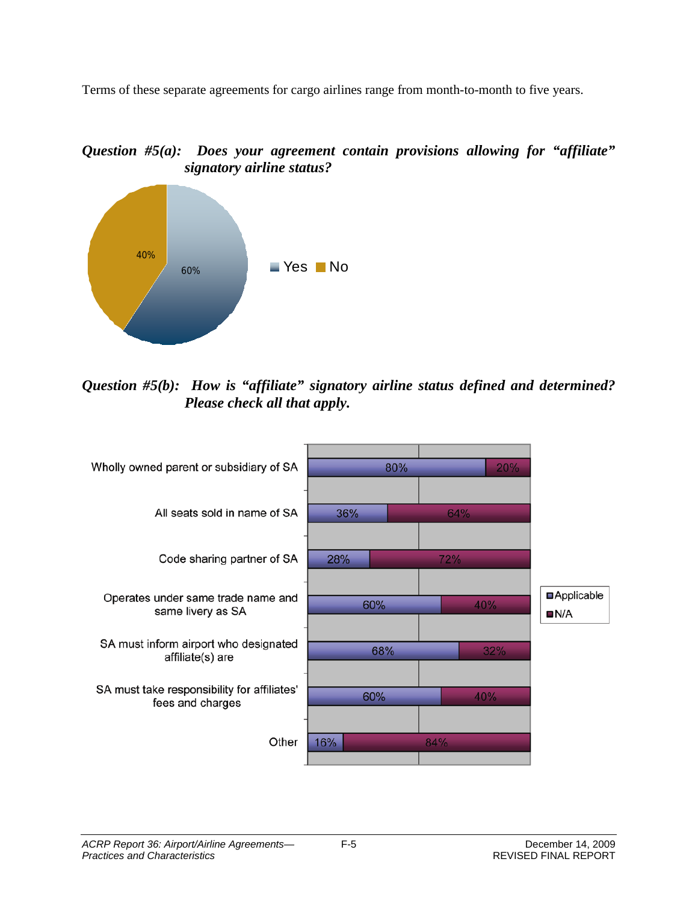Terms of these separate agreements for cargo airlines range from month-to-month to five years.

*Question #5(a): Does your agreement contain provisions allowing for "affiliate" signatory airline status?*



*Question #5(b): How is "affiliate" signatory airline status defined and determined? Please check all that apply.*

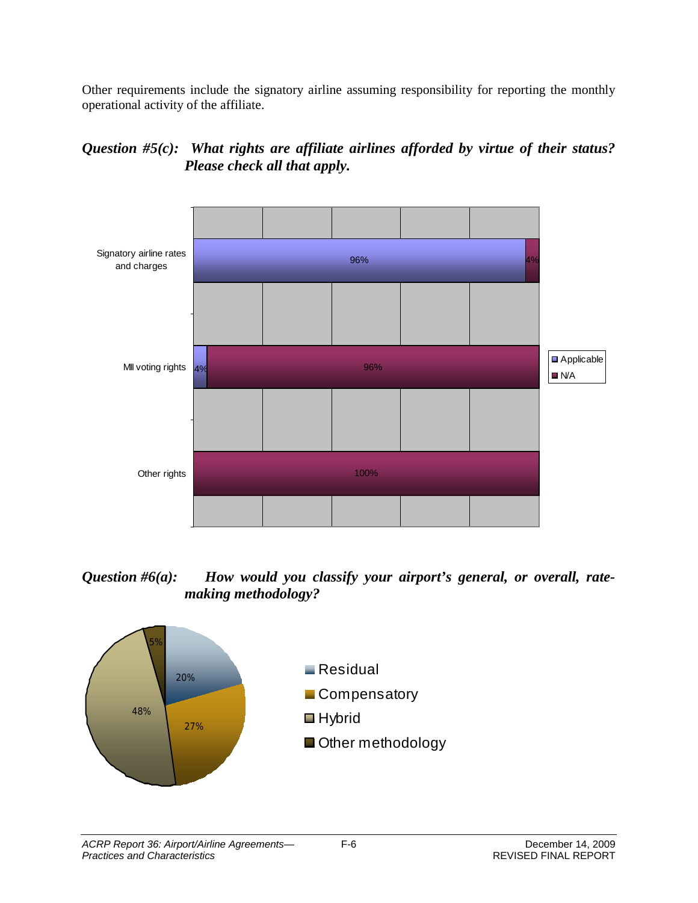Other requirements include the signatory airline assuming responsibility for reporting the monthly operational activity of the affiliate.

## *Question #5(c): What rights are affiliate airlines afforded by virtue of their status? Please check all that apply.*



## *Question #6(a): How would you classify your airport's general, or overall, ratemaking methodology?*

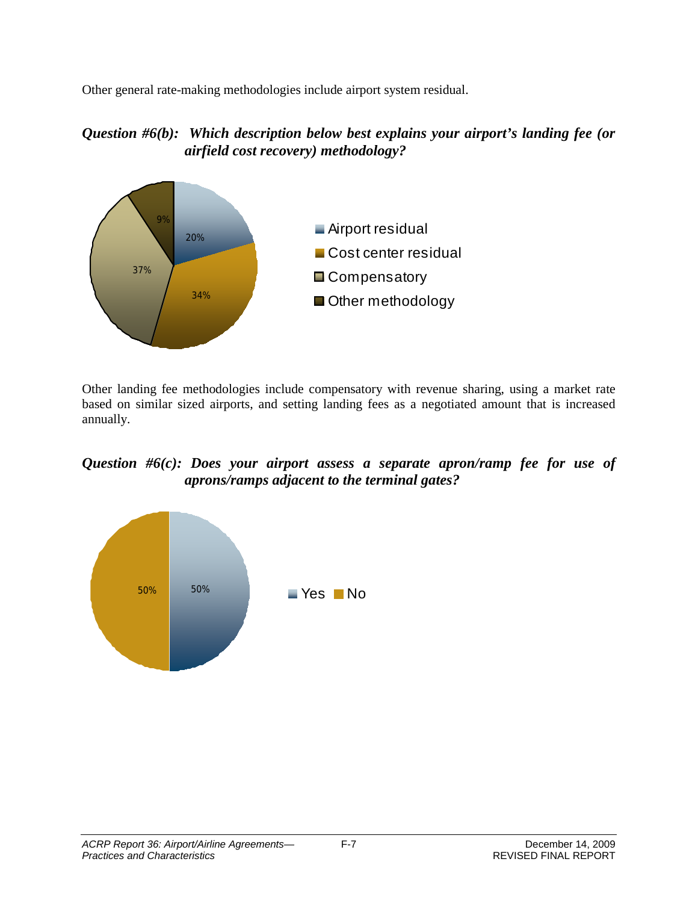Other general rate-making methodologies include airport system residual.

## *Question #6(b): Which description below best explains your airport's landing fee (or airfield cost recovery) methodology?*



Other landing fee methodologies include compensatory with revenue sharing, using a market rate based on similar sized airports, and setting landing fees as a negotiated amount that is increased annually.

## *Question #6(c): Does your airport assess a separate apron/ramp fee for use of aprons/ramps adjacent to the terminal gates?*

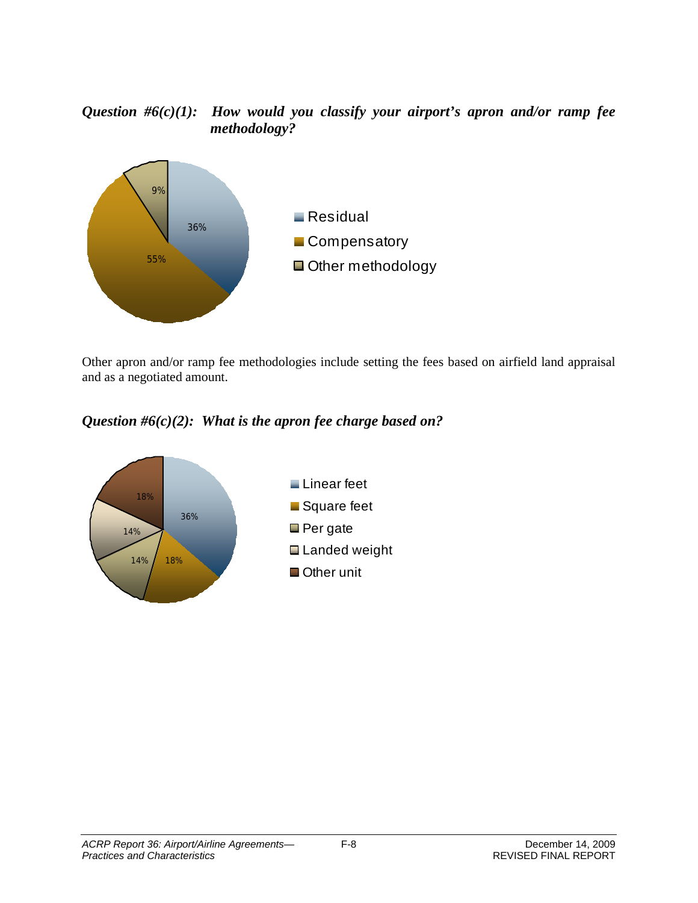## *Question #6(c)(1): How would you classify your airport's apron and/or ramp fee methodology?*



Other apron and/or ramp fee methodologies include setting the fees based on airfield land appraisal and as a negotiated amount.

*Question #6(c)(2): What is the apron fee charge based on?*

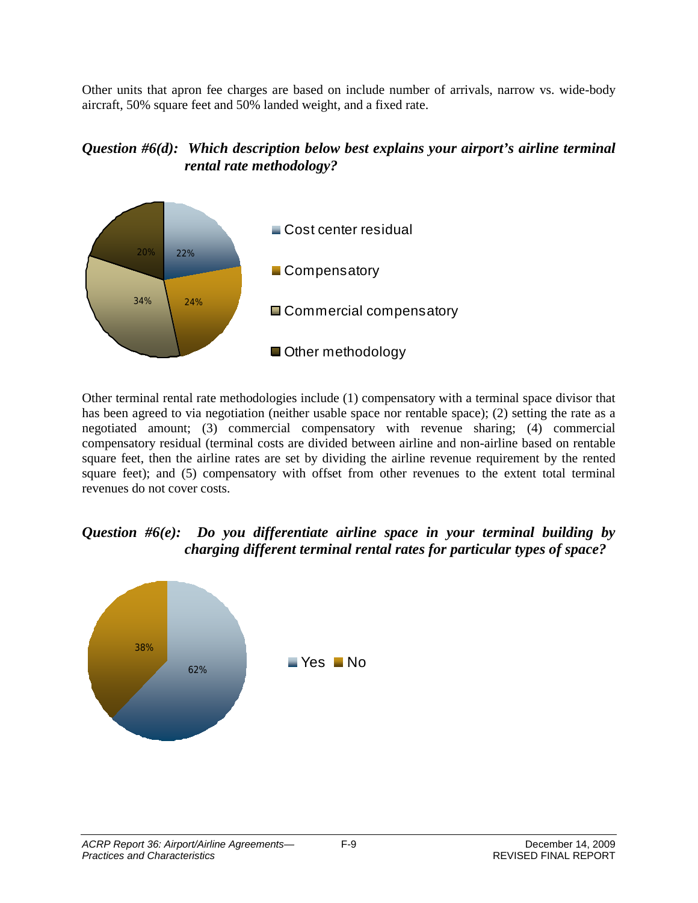Other units that apron fee charges are based on include number of arrivals, narrow vs. wide-body aircraft, 50% square feet and 50% landed weight, and a fixed rate.

#### *Question #6(d): Which description below best explains your airport's airline terminal rental rate methodology?*



Other terminal rental rate methodologies include (1) compensatory with a terminal space divisor that has been agreed to via negotiation (neither usable space nor rentable space); (2) setting the rate as a negotiated amount; (3) commercial compensatory with revenue sharing; (4) commercial compensatory residual (terminal costs are divided between airline and non-airline based on rentable square feet, then the airline rates are set by dividing the airline revenue requirement by the rented square feet); and (5) compensatory with offset from other revenues to the extent total terminal revenues do not cover costs.

## *Question #6(e): Do you differentiate airline space in your terminal building by charging different terminal rental rates for particular types of space?*

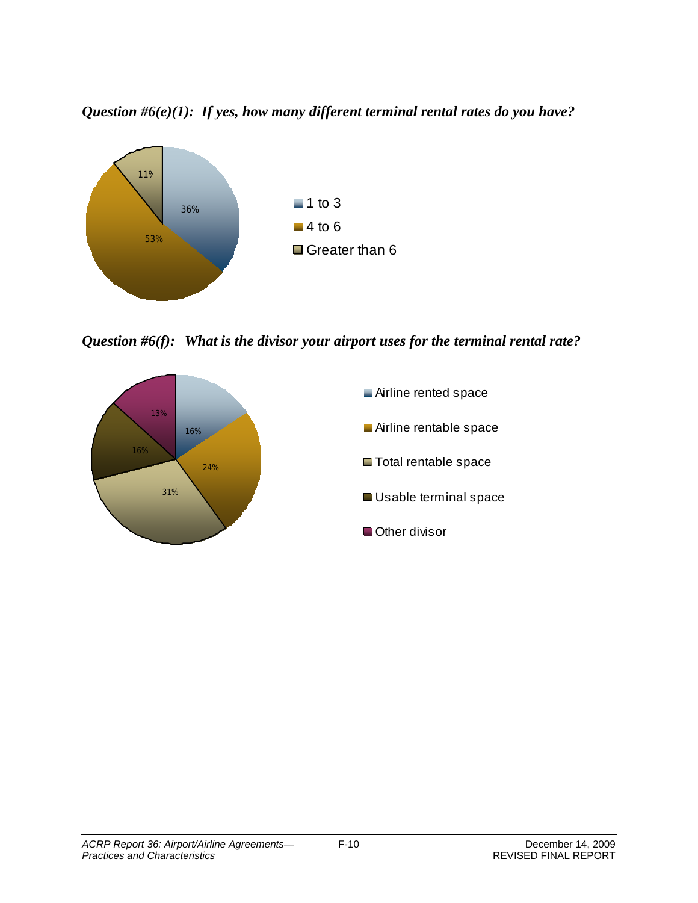*Question #6(e)(1): If yes, how many different terminal rental rates do you have?*



*Question #6(f): What is the divisor your airport uses for the terminal rental rate?*

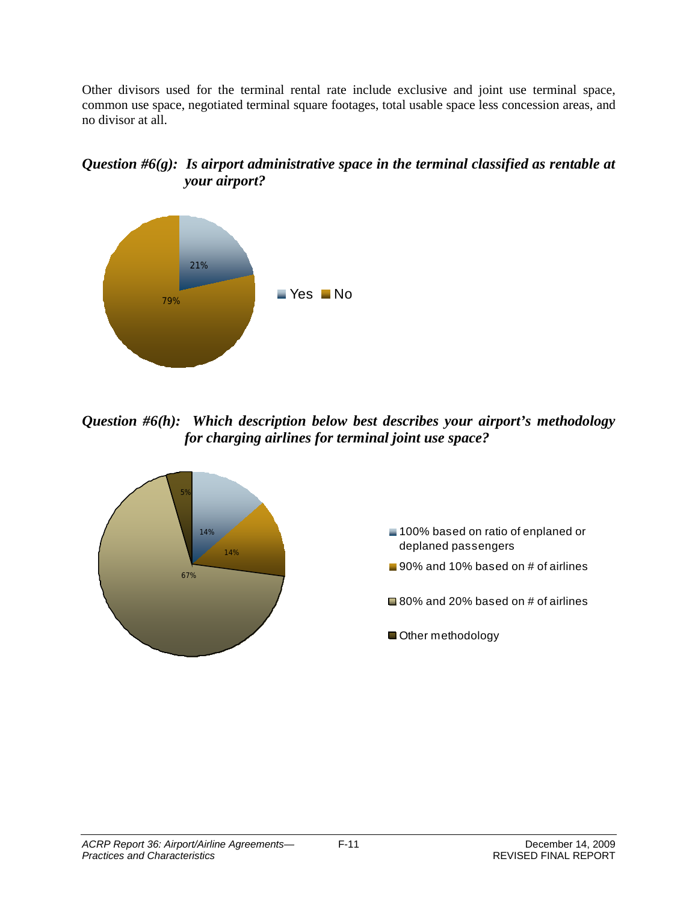Other divisors used for the terminal rental rate include exclusive and joint use terminal space, common use space, negotiated terminal square footages, total usable space less concession areas, and no divisor at all.

## *Question #6(g): Is airport administrative space in the terminal classified as rentable at your airport?*



*Question #6(h): Which description below best describes your airport's methodology for charging airlines for terminal joint use space?*

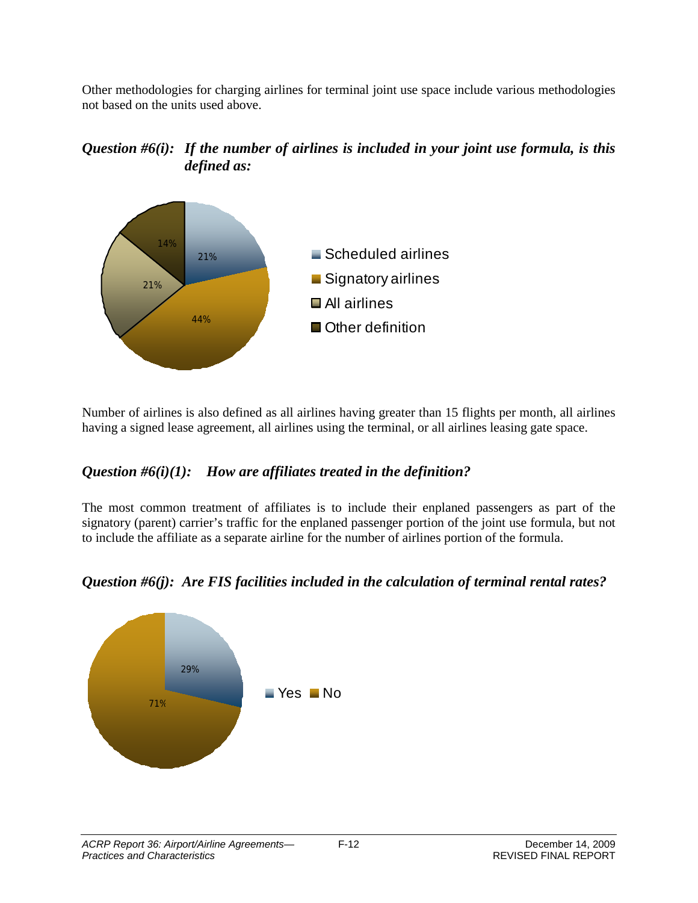Other methodologies for charging airlines for terminal joint use space include various methodologies not based on the units used above.





Number of airlines is also defined as all airlines having greater than 15 flights per month, all airlines having a signed lease agreement, all airlines using the terminal, or all airlines leasing gate space.

## *Question #6(i)(1): How are affiliates treated in the definition?*

The most common treatment of affiliates is to include their enplaned passengers as part of the signatory (parent) carrier's traffic for the enplaned passenger portion of the joint use formula, but not to include the affiliate as a separate airline for the number of airlines portion of the formula.



#### *Question #6(j): Are FIS facilities included in the calculation of terminal rental rates?*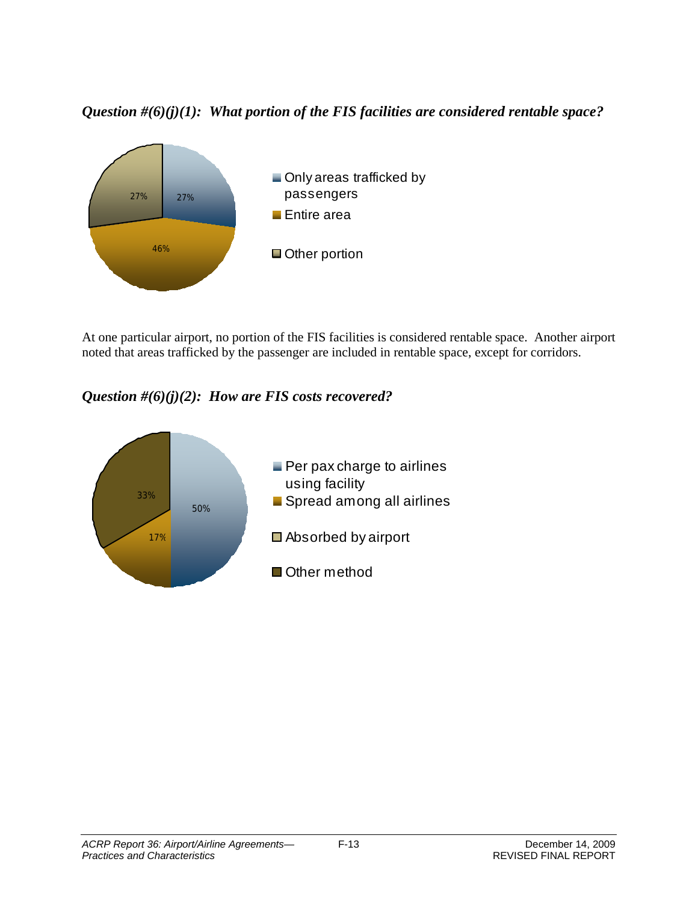*Question #(6)(j)(1): What portion of the FIS facilities are considered rentable space?*



At one particular airport, no portion of the FIS facilities is considered rentable space. Another airport noted that areas trafficked by the passenger are included in rentable space, except for corridors.

*Question #(6)(j)(2): How are FIS costs recovered?*

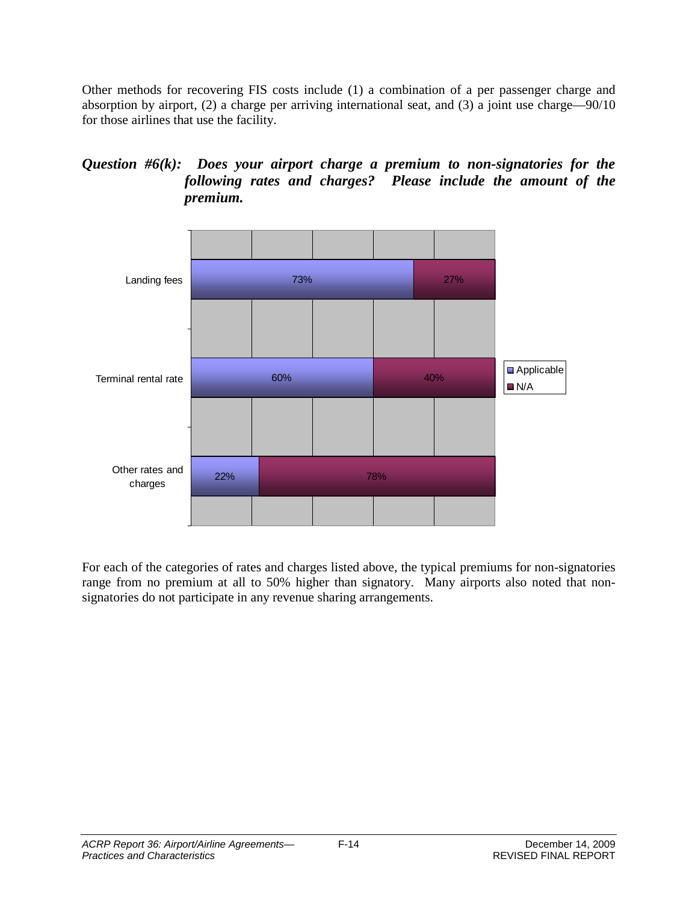Other methods for recovering FIS costs include (1) a combination of a per passenger charge and absorption by airport, (2) a charge per arriving international seat, and (3) a joint use charge—90/10 for those airlines that use the facility.

#### *Question #6(k): Does your airport charge a premium to non-signatories for the following rates and charges? Please include the amount of the premium.*



For each of the categories of rates and charges listed above, the typical premiums for non-signatories range from no premium at all to 50% higher than signatory. Many airports also noted that nonsignatories do not participate in any revenue sharing arrangements.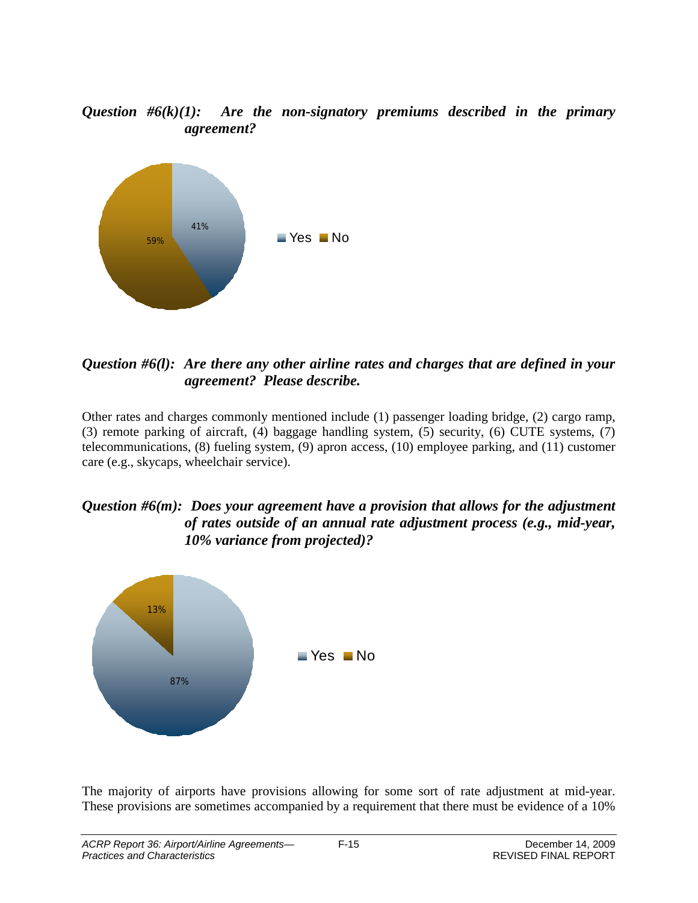*Question #6(k)(1): Are the non-signatory premiums described in the primary agreement?*



*Question #6(l): Are there any other airline rates and charges that are defined in your agreement? Please describe.*

Other rates and charges commonly mentioned include (1) passenger loading bridge, (2) cargo ramp, (3) remote parking of aircraft, (4) baggage handling system, (5) security, (6) CUTE systems, (7) telecommunications, (8) fueling system, (9) apron access, (10) employee parking, and (11) customer care (e.g., skycaps, wheelchair service).

#### *Question #6(m): Does your agreement have a provision that allows for the adjustment of rates outside of an annual rate adjustment process (e.g., mid-year, 10% variance from projected)?*



The majority of airports have provisions allowing for some sort of rate adjustment at mid-year. These provisions are sometimes accompanied by a requirement that there must be evidence of a 10%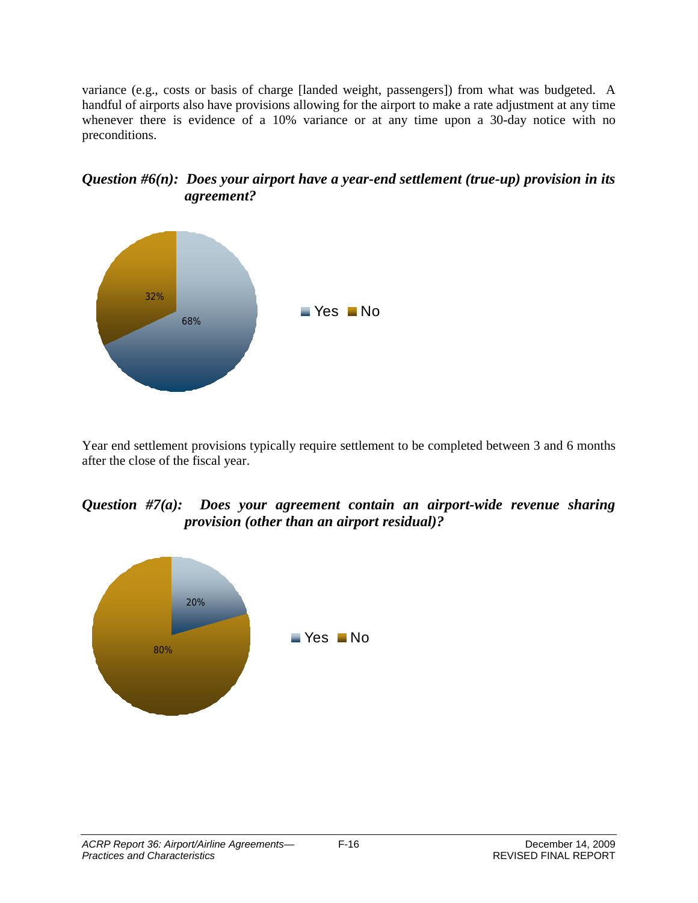variance (e.g., costs or basis of charge [landed weight, passengers]) from what was budgeted. A handful of airports also have provisions allowing for the airport to make a rate adjustment at any time whenever there is evidence of a 10% variance or at any time upon a 30-day notice with no preconditions.





Year end settlement provisions typically require settlement to be completed between 3 and 6 months after the close of the fiscal year.

#### *Question #7(a): Does your agreement contain an airport-wide revenue sharing provision (other than an airport residual)?*

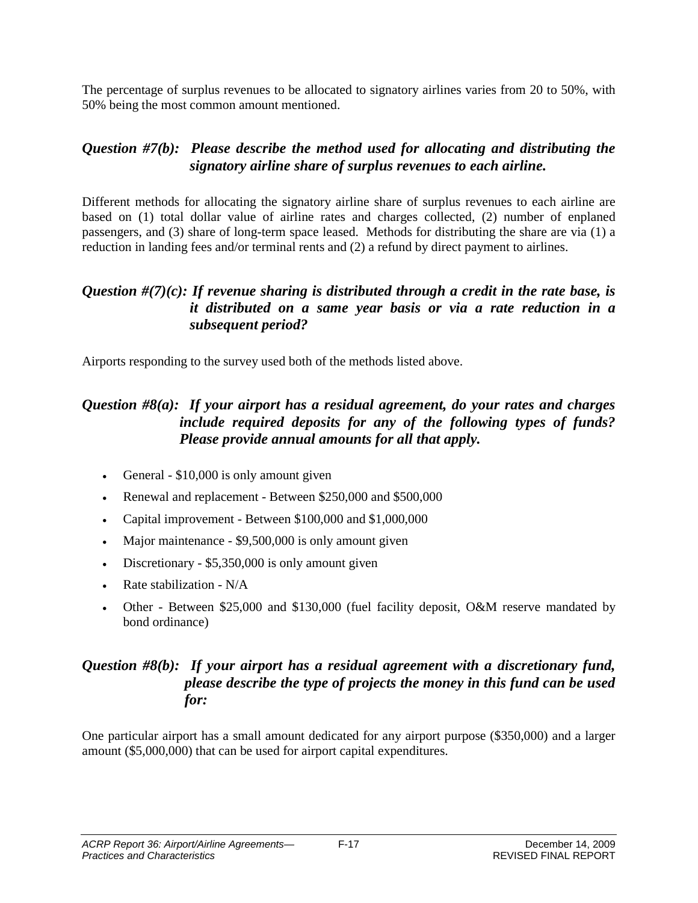The percentage of surplus revenues to be allocated to signatory airlines varies from 20 to 50%, with 50% being the most common amount mentioned.

## *Question #7(b): Please describe the method used for allocating and distributing the signatory airline share of surplus revenues to each airline.*

Different methods for allocating the signatory airline share of surplus revenues to each airline are based on (1) total dollar value of airline rates and charges collected, (2) number of enplaned passengers, and (3) share of long-term space leased. Methods for distributing the share are via (1) a reduction in landing fees and/or terminal rents and (2) a refund by direct payment to airlines.

#### *Question #(7)(c): If revenue sharing is distributed through a credit in the rate base, is it distributed on a same year basis or via a rate reduction in a subsequent period?*

Airports responding to the survey used both of the methods listed above.

## *Question #8(a): If your airport has a residual agreement, do your rates and charges include required deposits for any of the following types of funds? Please provide annual amounts for all that apply.*

- General \$10,000 is only amount given
- Renewal and replacement Between \$250,000 and \$500,000
- Capital improvement Between \$100,000 and \$1,000,000
- Major maintenance \$9,500,000 is only amount given
- Discretionary \$5,350,000 is only amount given
- Rate stabilization N/A
- Other Between \$25,000 and \$130,000 (fuel facility deposit, O&M reserve mandated by bond ordinance)

## *Question #8(b): If your airport has a residual agreement with a discretionary fund, please describe the type of projects the money in this fund can be used for:*

One particular airport has a small amount dedicated for any airport purpose (\$350,000) and a larger amount (\$5,000,000) that can be used for airport capital expenditures.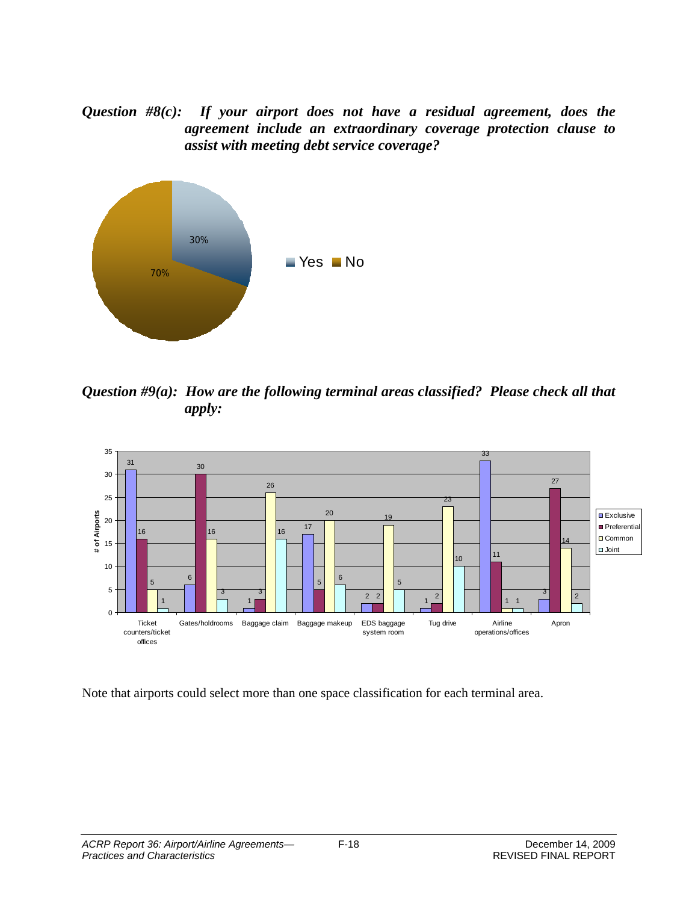*Question #8(c): If your airport does not have a residual agreement, does the agreement include an extraordinary coverage protection clause to assist with meeting debt service coverage?*



*Question #9(a): How are the following terminal areas classified? Please check all that apply:*



Note that airports could select more than one space classification for each terminal area.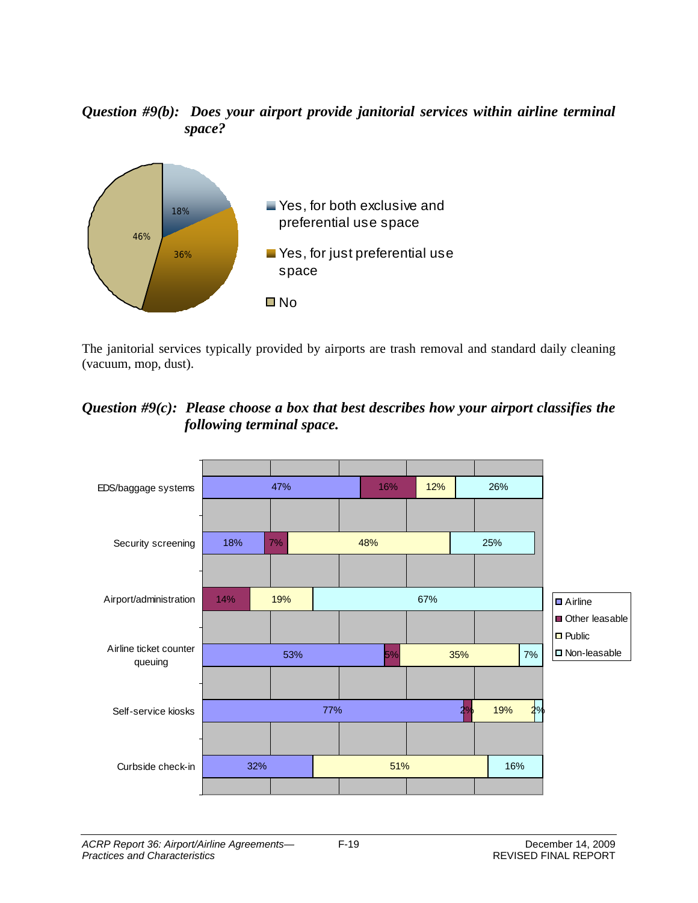## *Question #9(b): Does your airport provide janitorial services within airline terminal space?*



The janitorial services typically provided by airports are trash removal and standard daily cleaning (vacuum, mop, dust).

## *Question #9(c): Please choose a box that best describes how your airport classifies the following terminal space.*

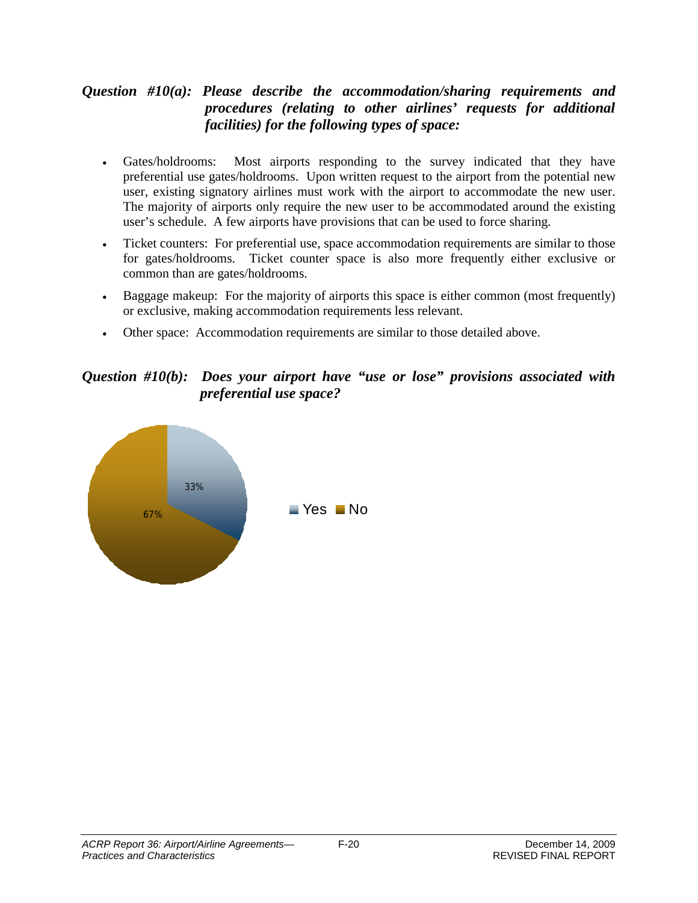## *Question #10(a): Please describe the accommodation/sharing requirements and procedures (relating to other airlines' requests for additional facilities) for the following types of space:*

- Gates/holdrooms: Most airports responding to the survey indicated that they have preferential use gates/holdrooms. Upon written request to the airport from the potential new user, existing signatory airlines must work with the airport to accommodate the new user. The majority of airports only require the new user to be accommodated around the existing user's schedule. A few airports have provisions that can be used to force sharing.
- Ticket counters: For preferential use, space accommodation requirements are similar to those for gates/holdrooms. Ticket counter space is also more frequently either exclusive or common than are gates/holdrooms.
- Baggage makeup: For the majority of airports this space is either common (most frequently) or exclusive, making accommodation requirements less relevant.
- Other space: Accommodation requirements are similar to those detailed above.

## *Question #10(b): Does your airport have "use or lose" provisions associated with preferential use space?*

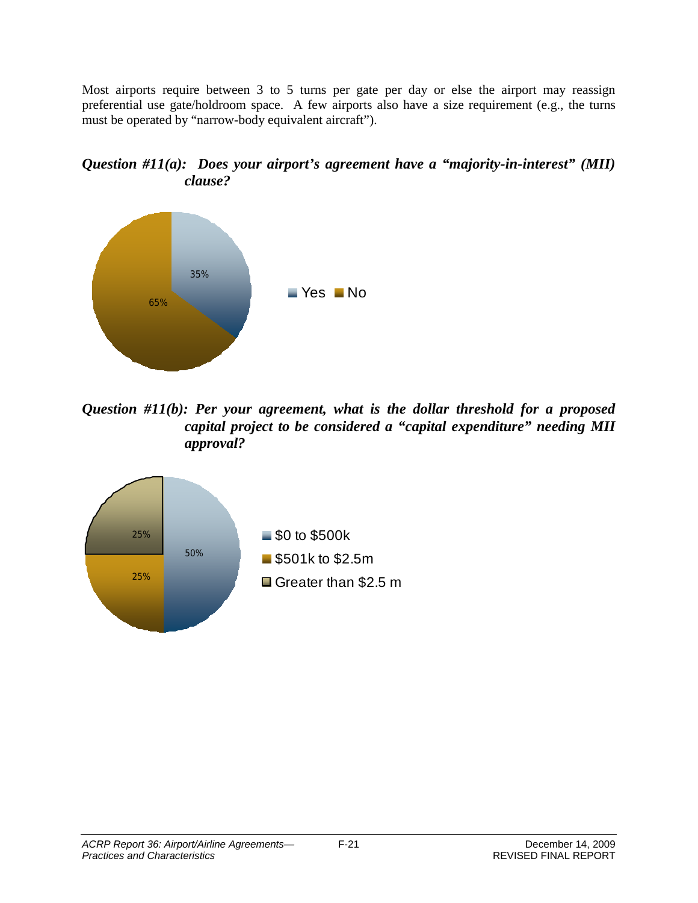Most airports require between 3 to 5 turns per gate per day or else the airport may reassign preferential use gate/holdroom space. A few airports also have a size requirement (e.g., the turns must be operated by "narrow-body equivalent aircraft").





*Question #11(b): Per your agreement, what is the dollar threshold for a proposed capital project to be considered a "capital expenditure" needing MII approval?*

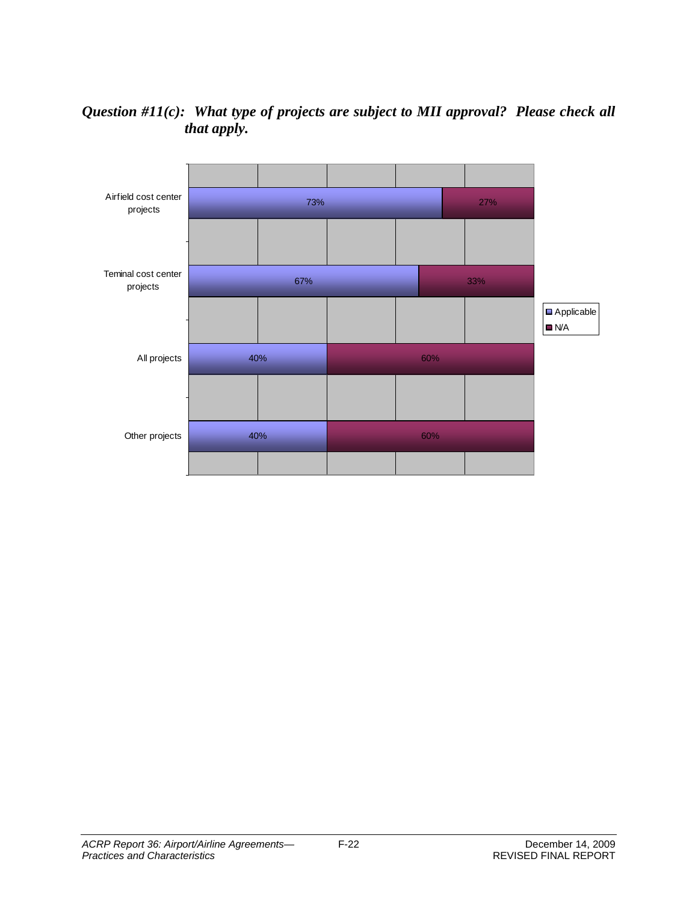## *Question #11(c): What type of projects are subject to MII approval? Please check all that apply.*

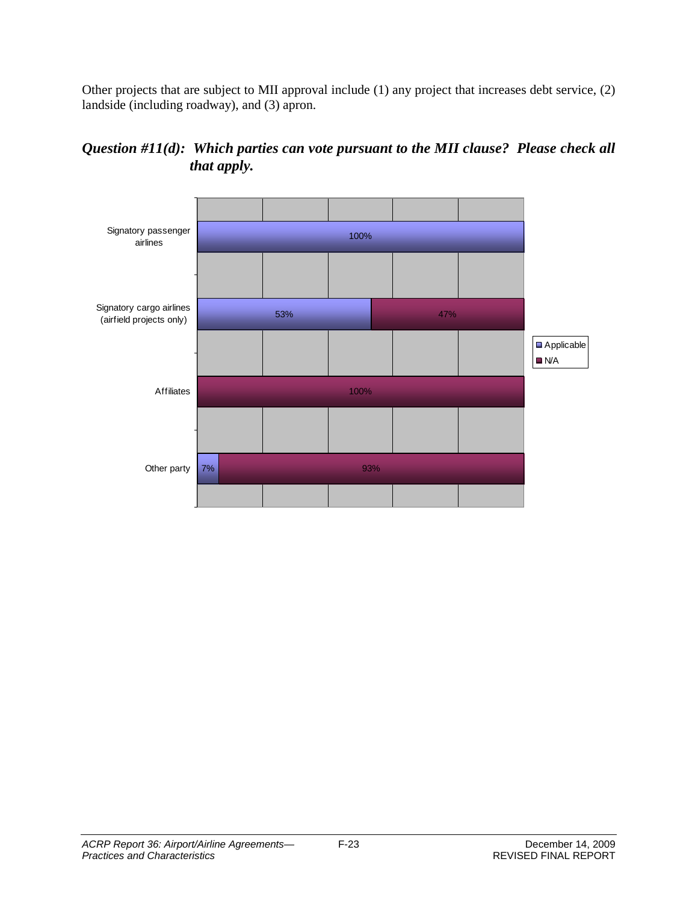Other projects that are subject to MII approval include (1) any project that increases debt service, (2) landside (including roadway), and (3) apron.



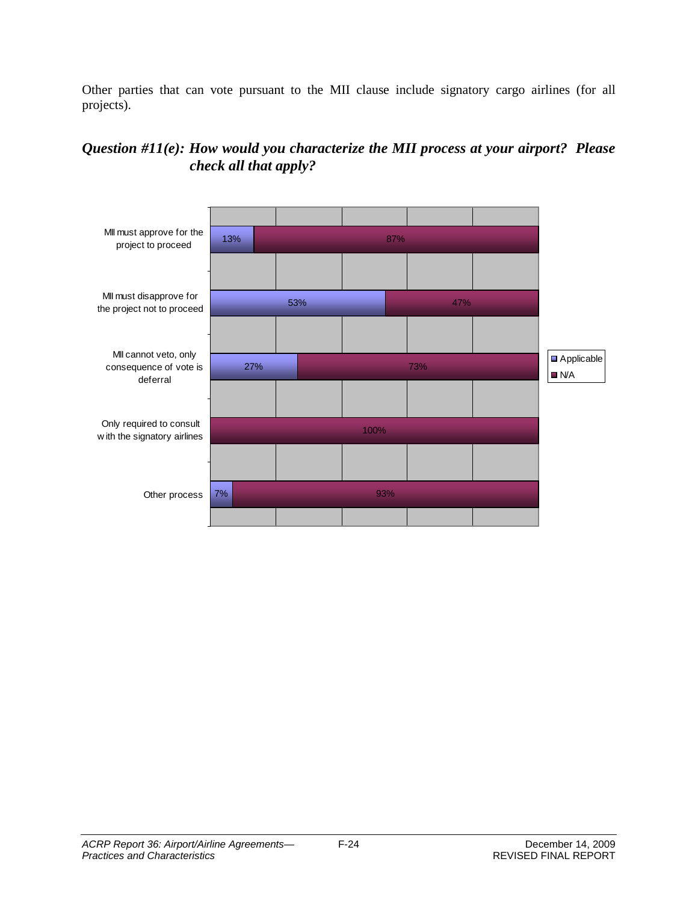Other parties that can vote pursuant to the MII clause include signatory cargo airlines (for all projects).

## *Question #11(e): How would you characterize the MII process at your airport? Please check all that apply?*

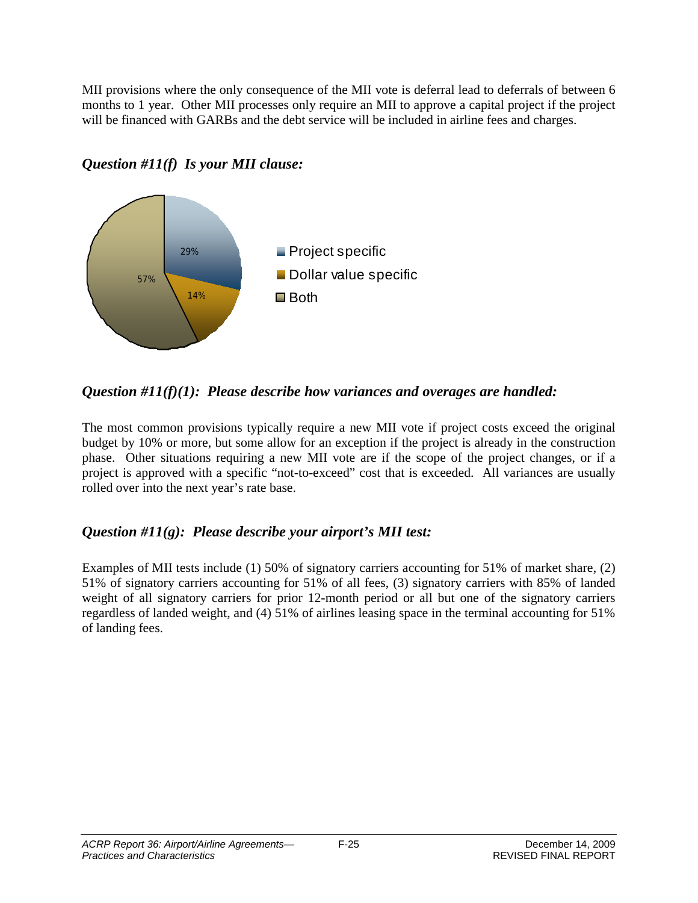MII provisions where the only consequence of the MII vote is deferral lead to deferrals of between 6 months to 1 year. Other MII processes only require an MII to approve a capital project if the project will be financed with GARBs and the debt service will be included in airline fees and charges.



## *Question #11(f) Is your MII clause:*

## *Question #11(f)(1): Please describe how variances and overages are handled:*

The most common provisions typically require a new MII vote if project costs exceed the original budget by 10% or more, but some allow for an exception if the project is already in the construction phase. Other situations requiring a new MII vote are if the scope of the project changes, or if a project is approved with a specific "not-to-exceed" cost that is exceeded. All variances are usually rolled over into the next year's rate base.

## *Question #11(g): Please describe your airport's MII test:*

Examples of MII tests include (1) 50% of signatory carriers accounting for 51% of market share, (2) 51% of signatory carriers accounting for 51% of all fees, (3) signatory carriers with 85% of landed weight of all signatory carriers for prior 12-month period or all but one of the signatory carriers regardless of landed weight, and (4) 51% of airlines leasing space in the terminal accounting for 51% of landing fees.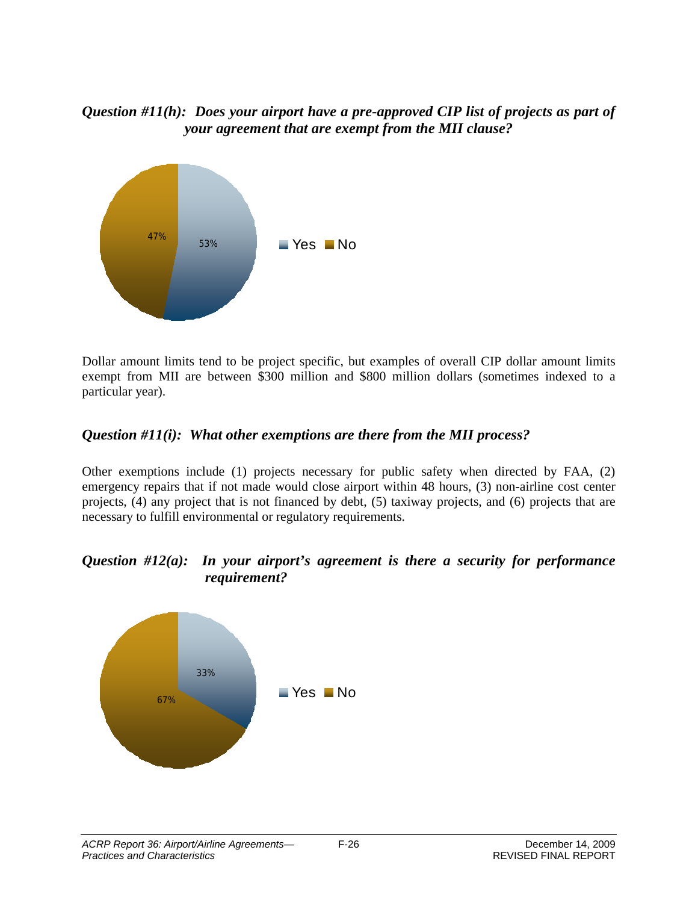#### *Question #11(h): Does your airport have a pre-approved CIP list of projects as part of your agreement that are exempt from the MII clause?*



Dollar amount limits tend to be project specific, but examples of overall CIP dollar amount limits exempt from MII are between \$300 million and \$800 million dollars (sometimes indexed to a particular year).

## *Question #11(i): What other exemptions are there from the MII process?*

Other exemptions include (1) projects necessary for public safety when directed by FAA, (2) emergency repairs that if not made would close airport within 48 hours, (3) non-airline cost center projects, (4) any project that is not financed by debt, (5) taxiway projects, and (6) projects that are necessary to fulfill environmental or regulatory requirements.

#### *Question #12(a): In your airport's agreement is there a security for performance requirement?*

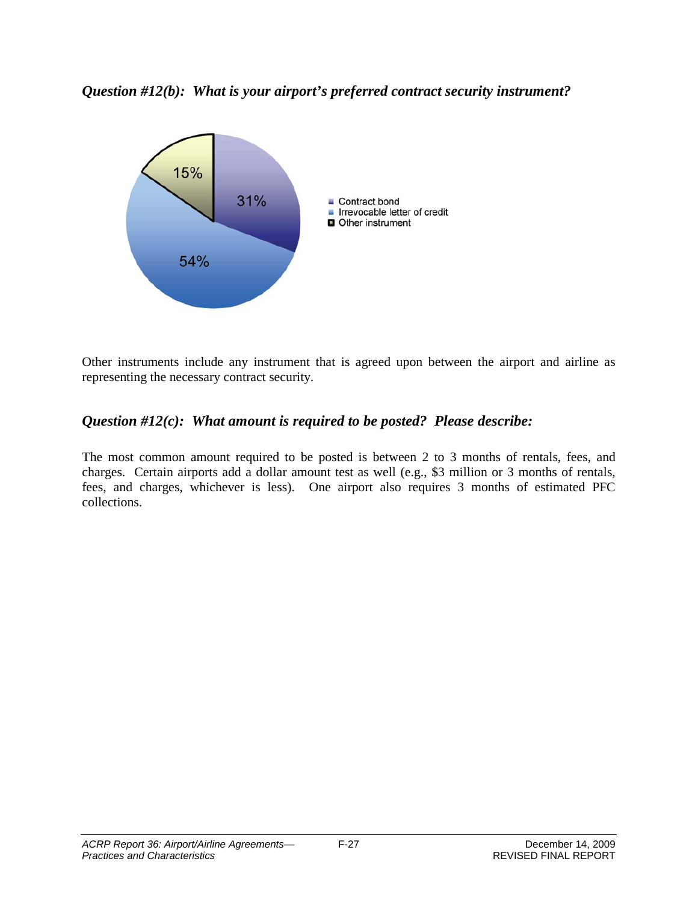*Question #12(b): What is your airport's preferred contract security instrument?*



Other instruments include any instrument that is agreed upon between the airport and airline as representing the necessary contract security.

## *Question #12(c): What amount is required to be posted? Please describe:*

The most common amount required to be posted is between 2 to 3 months of rentals, fees, and charges. Certain airports add a dollar amount test as well (e.g., \$3 million or 3 months of rentals, fees, and charges, whichever is less). One airport also requires 3 months of estimated PFC collections.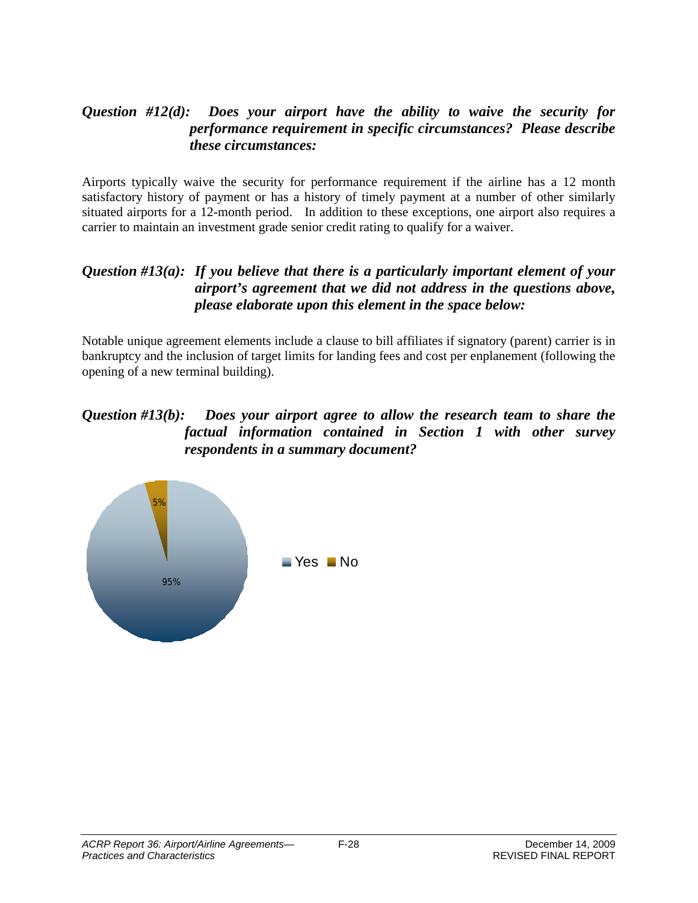## *Question #12(d): Does your airport have the ability to waive the security for performance requirement in specific circumstances? Please describe these circumstances:*

Airports typically waive the security for performance requirement if the airline has a 12 month satisfactory history of payment or has a history of timely payment at a number of other similarly situated airports for a 12-month period. In addition to these exceptions, one airport also requires a carrier to maintain an investment grade senior credit rating to qualify for a waiver.

#### *Question #13(a): If you believe that there is a particularly important element of your airport's agreement that we did not address in the questions above, please elaborate upon this element in the space below:*

Notable unique agreement elements include a clause to bill affiliates if signatory (parent) carrier is in bankruptcy and the inclusion of target limits for landing fees and cost per enplanement (following the opening of a new terminal building).

#### *Question #13(b): Does your airport agree to allow the research team to share the factual information contained in Section 1 with other survey respondents in a summary document?*

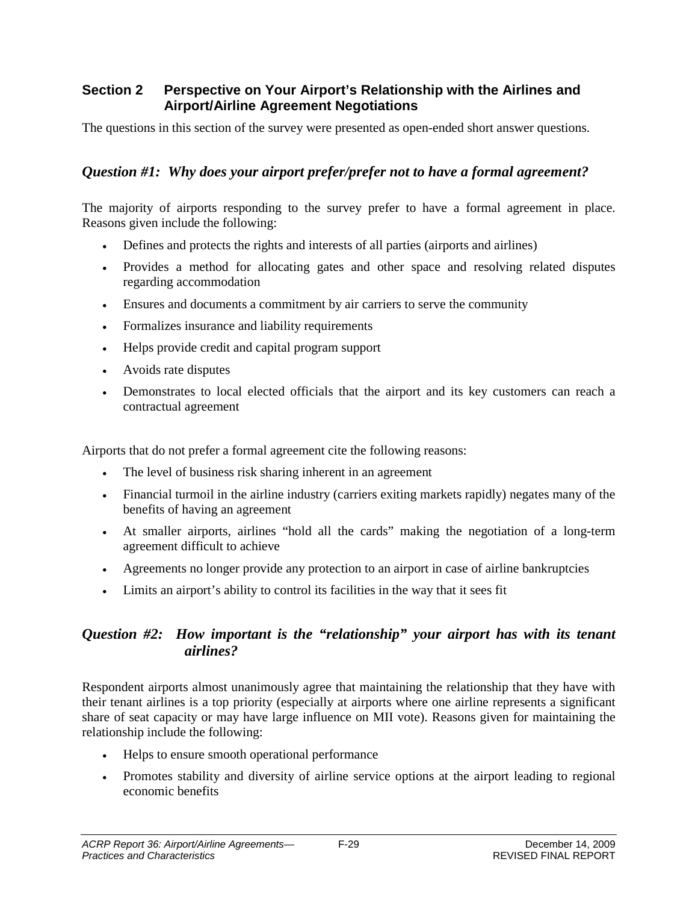#### **Section 2 Perspective on Your Airport's Relationship with the Airlines and Airport/Airline Agreement Negotiations**

The questions in this section of the survey were presented as open-ended short answer questions.

## *Question #1: Why does your airport prefer/prefer not to have a formal agreement?*

The majority of airports responding to the survey prefer to have a formal agreement in place. Reasons given include the following:

- Defines and protects the rights and interests of all parties (airports and airlines)
- Provides a method for allocating gates and other space and resolving related disputes regarding accommodation
- Ensures and documents a commitment by air carriers to serve the community
- Formalizes insurance and liability requirements
- Helps provide credit and capital program support
- Avoids rate disputes
- Demonstrates to local elected officials that the airport and its key customers can reach a contractual agreement

Airports that do not prefer a formal agreement cite the following reasons:

- The level of business risk sharing inherent in an agreement
- Financial turmoil in the airline industry (carriers exiting markets rapidly) negates many of the benefits of having an agreement
- At smaller airports, airlines "hold all the cards" making the negotiation of a long-term agreement difficult to achieve
- Agreements no longer provide any protection to an airport in case of airline bankruptcies
- Limits an airport's ability to control its facilities in the way that it sees fit

## *Question #2: How important is the "relationship" your airport has with its tenant airlines?*

Respondent airports almost unanimously agree that maintaining the relationship that they have with their tenant airlines is a top priority (especially at airports where one airline represents a significant share of seat capacity or may have large influence on MII vote). Reasons given for maintaining the relationship include the following:

- Helps to ensure smooth operational performance
- Promotes stability and diversity of airline service options at the airport leading to regional economic benefits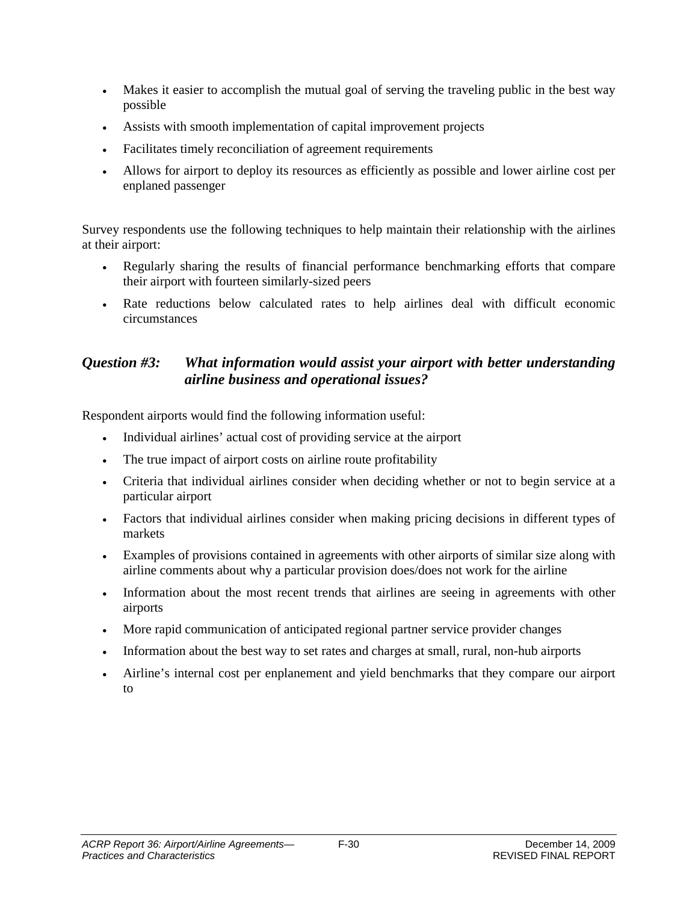- Makes it easier to accomplish the mutual goal of serving the traveling public in the best way possible
- Assists with smooth implementation of capital improvement projects
- Facilitates timely reconciliation of agreement requirements
- Allows for airport to deploy its resources as efficiently as possible and lower airline cost per enplaned passenger

Survey respondents use the following techniques to help maintain their relationship with the airlines at their airport:

- Regularly sharing the results of financial performance benchmarking efforts that compare their airport with fourteen similarly-sized peers
- Rate reductions below calculated rates to help airlines deal with difficult economic circumstances

#### *Question #3: What information would assist your airport with better understanding airline business and operational issues?*

Respondent airports would find the following information useful:

- Individual airlines' actual cost of providing service at the airport
- The true impact of airport costs on airline route profitability
- Criteria that individual airlines consider when deciding whether or not to begin service at a particular airport
- Factors that individual airlines consider when making pricing decisions in different types of markets
- Examples of provisions contained in agreements with other airports of similar size along with airline comments about why a particular provision does/does not work for the airline
- Information about the most recent trends that airlines are seeing in agreements with other airports
- More rapid communication of anticipated regional partner service provider changes
- Information about the best way to set rates and charges at small, rural, non-hub airports
- Airline's internal cost per enplanement and yield benchmarks that they compare our airport to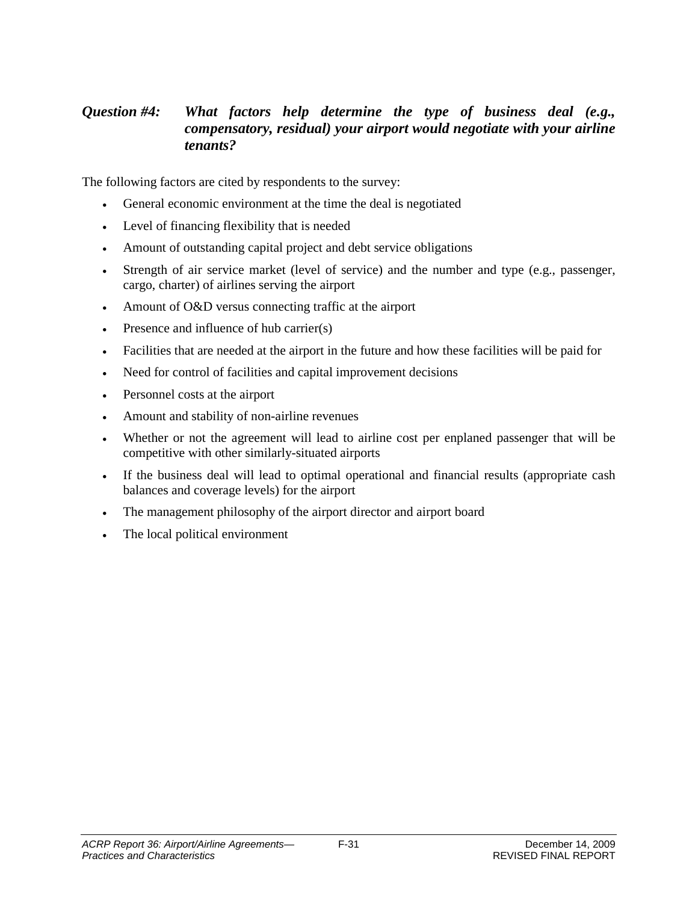## *Question #4: What factors help determine the type of business deal (e.g., compensatory, residual) your airport would negotiate with your airline tenants?*

The following factors are cited by respondents to the survey:

- General economic environment at the time the deal is negotiated
- Level of financing flexibility that is needed
- Amount of outstanding capital project and debt service obligations
- Strength of air service market (level of service) and the number and type (e.g., passenger, cargo, charter) of airlines serving the airport
- Amount of O&D versus connecting traffic at the airport
- Presence and influence of hub carrier(s)
- Facilities that are needed at the airport in the future and how these facilities will be paid for
- Need for control of facilities and capital improvement decisions
- Personnel costs at the airport
- Amount and stability of non-airline revenues
- Whether or not the agreement will lead to airline cost per enplaned passenger that will be competitive with other similarly-situated airports
- If the business deal will lead to optimal operational and financial results (appropriate cash balances and coverage levels) for the airport
- The management philosophy of the airport director and airport board
- The local political environment